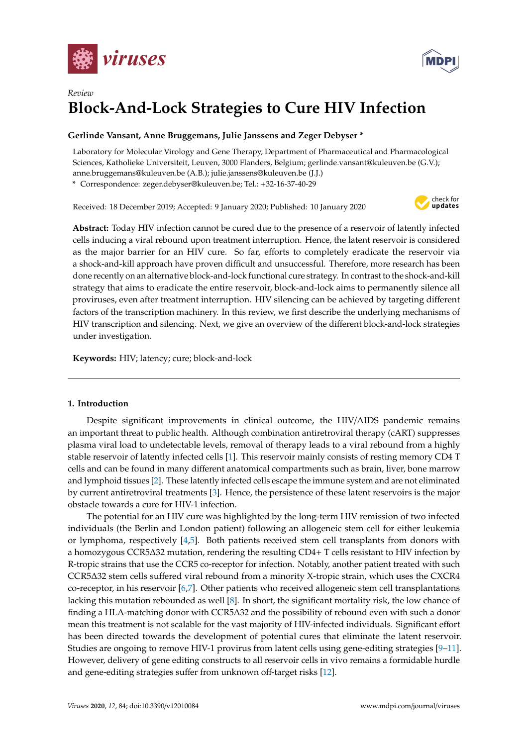



# *Review* **Block-And-Lock Strategies to Cure HIV Infection**

# **Gerlinde Vansant, Anne Bruggemans, Julie Janssens and Zeger Debyser \***

Laboratory for Molecular Virology and Gene Therapy, Department of Pharmaceutical and Pharmacological Sciences, Katholieke Universiteit, Leuven, 3000 Flanders, Belgium; gerlinde.vansant@kuleuven.be (G.V.); anne.bruggemans@kuleuven.be (A.B.); julie.janssens@kuleuven.be (J.J.)

**\*** Correspondence: zeger.debyser@kuleuven.be; Tel.: +32-16-37-40-29

Received: 18 December 2019; Accepted: 9 January 2020; Published: 10 January 2020



**Abstract:** Today HIV infection cannot be cured due to the presence of a reservoir of latently infected cells inducing a viral rebound upon treatment interruption. Hence, the latent reservoir is considered as the major barrier for an HIV cure. So far, efforts to completely eradicate the reservoir via a shock-and-kill approach have proven difficult and unsuccessful. Therefore, more research has been done recently on an alternative block-and-lock functional cure strategy. In contrast to the shock-and-kill strategy that aims to eradicate the entire reservoir, block-and-lock aims to permanently silence all proviruses, even after treatment interruption. HIV silencing can be achieved by targeting different factors of the transcription machinery. In this review, we first describe the underlying mechanisms of HIV transcription and silencing. Next, we give an overview of the different block-and-lock strategies under investigation.

**Keywords:** HIV; latency; cure; block-and-lock

# **1. Introduction**

Despite significant improvements in clinical outcome, the HIV/AIDS pandemic remains an important threat to public health. Although combination antiretroviral therapy (cART) suppresses plasma viral load to undetectable levels, removal of therapy leads to a viral rebound from a highly stable reservoir of latently infected cells [\[1\]](#page-9-0). This reservoir mainly consists of resting memory CD4 T cells and can be found in many different anatomical compartments such as brain, liver, bone marrow and lymphoid tissues [\[2\]](#page-9-1). These latently infected cells escape the immune system and are not eliminated by current antiretroviral treatments [\[3\]](#page-9-2). Hence, the persistence of these latent reservoirs is the major obstacle towards a cure for HIV-1 infection.

The potential for an HIV cure was highlighted by the long-term HIV remission of two infected individuals (the Berlin and London patient) following an allogeneic stem cell for either leukemia or lymphoma, respectively  $[4,5]$  $[4,5]$ . Both patients received stem cell transplants from donors with a homozygous CCR5∆32 mutation, rendering the resulting CD4+ T cells resistant to HIV infection by R-tropic strains that use the CCR5 co-receptor for infection. Notably, another patient treated with such CCR5∆32 stem cells suffered viral rebound from a minority X-tropic strain, which uses the CXCR4 co-receptor, in his reservoir [\[6](#page-9-5)[,7\]](#page-9-6). Other patients who received allogeneic stem cell transplantations lacking this mutation rebounded as well [\[8\]](#page-9-7). In short, the significant mortality risk, the low chance of finding a HLA-matching donor with CCR5∆32 and the possibility of rebound even with such a donor mean this treatment is not scalable for the vast majority of HIV-infected individuals. Significant effort has been directed towards the development of potential cures that eliminate the latent reservoir. Studies are ongoing to remove HIV-1 provirus from latent cells using gene-editing strategies [\[9–](#page-9-8)[11\]](#page-9-9). However, delivery of gene editing constructs to all reservoir cells in vivo remains a formidable hurdle and gene-editing strategies suffer from unknown off-target risks [\[12\]](#page-10-0).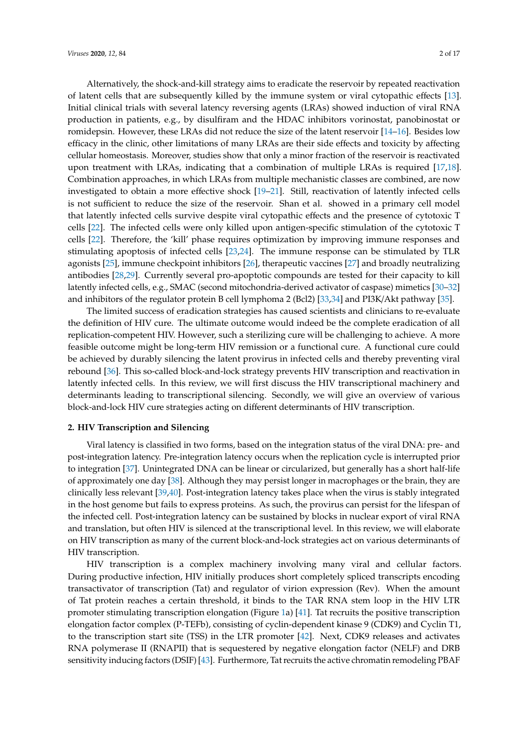Alternatively, the shock-and-kill strategy aims to eradicate the reservoir by repeated reactivation of latent cells that are subsequently killed by the immune system or viral cytopathic effects [\[13\]](#page-10-1). Initial clinical trials with several latency reversing agents (LRAs) showed induction of viral RNA production in patients, e.g., by disulfiram and the HDAC inhibitors vorinostat, panobinostat or romidepsin. However, these LRAs did not reduce the size of the latent reservoir [\[14–](#page-10-2)[16\]](#page-10-3). Besides low efficacy in the clinic, other limitations of many LRAs are their side effects and toxicity by affecting cellular homeostasis. Moreover, studies show that only a minor fraction of the reservoir is reactivated upon treatment with LRAs, indicating that a combination of multiple LRAs is required [\[17,](#page-10-4)[18\]](#page-10-5). Combination approaches, in which LRAs from multiple mechanistic classes are combined, are now investigated to obtain a more effective shock [\[19–](#page-10-6)[21\]](#page-10-7). Still, reactivation of latently infected cells is not sufficient to reduce the size of the reservoir. Shan et al. showed in a primary cell model that latently infected cells survive despite viral cytopathic effects and the presence of cytotoxic T cells [\[22\]](#page-10-8). The infected cells were only killed upon antigen-specific stimulation of the cytotoxic T cells [\[22\]](#page-10-8). Therefore, the 'kill' phase requires optimization by improving immune responses and stimulating apoptosis of infected cells [\[23](#page-10-9)[,24\]](#page-10-10). The immune response can be stimulated by TLR agonists [\[25\]](#page-10-11), immune checkpoint inhibitors [\[26\]](#page-10-12), therapeutic vaccines [\[27\]](#page-10-13) and broadly neutralizing antibodies [\[28,](#page-10-14)[29\]](#page-10-15). Currently several pro-apoptotic compounds are tested for their capacity to kill latently infected cells, e.g., SMAC (second mitochondria-derived activator of caspase) mimetics [\[30–](#page-10-16)[32\]](#page-10-17) and inhibitors of the regulator protein B cell lymphoma 2 (Bcl2) [\[33,](#page-11-0)[34\]](#page-11-1) and PI3K/Akt pathway [\[35\]](#page-11-2).

The limited success of eradication strategies has caused scientists and clinicians to re-evaluate the definition of HIV cure. The ultimate outcome would indeed be the complete eradication of all replication-competent HIV. However, such a sterilizing cure will be challenging to achieve. A more feasible outcome might be long-term HIV remission or a functional cure. A functional cure could be achieved by durably silencing the latent provirus in infected cells and thereby preventing viral rebound [\[36\]](#page-11-3). This so-called block-and-lock strategy prevents HIV transcription and reactivation in latently infected cells. In this review, we will first discuss the HIV transcriptional machinery and determinants leading to transcriptional silencing. Secondly, we will give an overview of various block-and-lock HIV cure strategies acting on different determinants of HIV transcription.

#### **2. HIV Transcription and Silencing**

Viral latency is classified in two forms, based on the integration status of the viral DNA: pre- and post-integration latency. Pre-integration latency occurs when the replication cycle is interrupted prior to integration [\[37\]](#page-11-4). Unintegrated DNA can be linear or circularized, but generally has a short half-life of approximately one day [\[38\]](#page-11-5). Although they may persist longer in macrophages or the brain, they are clinically less relevant [\[39](#page-11-6)[,40\]](#page-11-7). Post-integration latency takes place when the virus is stably integrated in the host genome but fails to express proteins. As such, the provirus can persist for the lifespan of the infected cell. Post-integration latency can be sustained by blocks in nuclear export of viral RNA and translation, but often HIV is silenced at the transcriptional level. In this review, we will elaborate on HIV transcription as many of the current block-and-lock strategies act on various determinants of HIV transcription.

HIV transcription is a complex machinery involving many viral and cellular factors. During productive infection, HIV initially produces short completely spliced transcripts encoding transactivator of transcription (Tat) and regulator of virion expression (Rev). When the amount of Tat protein reaches a certain threshold, it binds to the TAR RNA stem loop in the HIV LTR promoter stimulating transcription elongation (Figure [1a](#page-2-0)) [\[41\]](#page-11-8). Tat recruits the positive transcription elongation factor complex (P-TEFb), consisting of cyclin-dependent kinase 9 (CDK9) and Cyclin T1, to the transcription start site (TSS) in the LTR promoter [\[42\]](#page-11-9). Next, CDK9 releases and activates RNA polymerase II (RNAPII) that is sequestered by negative elongation factor (NELF) and DRB sensitivity inducing factors (DSIF) [\[43\]](#page-11-10). Furthermore, Tat recruits the active chromatin remodeling PBAF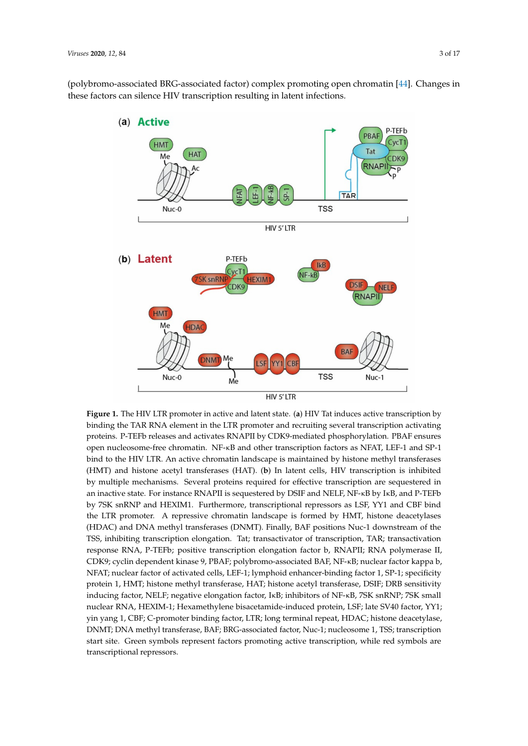<span id="page-2-0"></span>(polybromo-associated BRG-associated factor) complex promoting open chromatin [\[44\]](#page-11-11). Changes in these factors can silence HIV transcription resulting in latent infections.



**Figure 1.** The HIV LTR promoter in active and latent state. (**a**) HIV Tat induces active transcription by binding the TAR RNA element in the LTR promoter and recruiting several transcription activating proteins. P-TEFb releases and activates RNAPII by CDK9-mediated phosphorylation. PBAF ensures open nucleosome-free chromatin. NF-κB and other transcription factors as NFAT, LEF-1 and SP-1 bind to the HIV LTR. An active chromatin landscape is maintained by histone methyl transferases (HMT) and histone acetyl transferases (HAT). (**b**) In latent cells, HIV transcription is inhibited by multiple mechanisms. Several proteins required for effective transcription are sequestered in an inactive state. For instance RNAPII is sequestered by DSIF and NELF, NF-κB by IκB, and P-TEFb by 7SK snRNP and HEXIM1. Furthermore, transcriptional repressors as LSF, YY1 and CBF bind the LTR promoter. A repressive chromatin landscape is formed by HMT, histone deacetylases (HDAC) and DNA methyl transferases (DNMT). Finally, BAF positions Nuc-1 downstream of the TSS, inhibiting transcription elongation. Tat; transactivator of transcription, TAR; transactivation response RNA, P-TEFb; positive transcription elongation factor b, RNAPII; RNA polymerase II, CDK9; cyclin dependent kinase 9, PBAF; polybromo-associated BAF, NF-κB; nuclear factor kappa b, NFAT; nuclear factor of activated cells, LEF-1; lymphoid enhancer-binding factor 1, SP-1; specificity protein 1, HMT; histone methyl transferase, HAT; histone acetyl transferase, DSIF; DRB sensitivity inducing factor, NELF; negative elongation factor, IκB; inhibitors of NF-κB, 7SK snRNP; 7SK small nuclear RNA, HEXIM-1; Hexamethylene bisacetamide-induced protein, LSF; late SV40 factor, YY1; yin yang 1, CBF; C-promoter binding factor, LTR; long terminal repeat, HDAC; histone deacetylase, DNMT; DNA methyl transferase, BAF; BRG-associated factor, Nuc-1; nucleosome 1, TSS; transcription start site. Green symbols represent factors promoting active transcription, while red symbols are transcriptional repressors.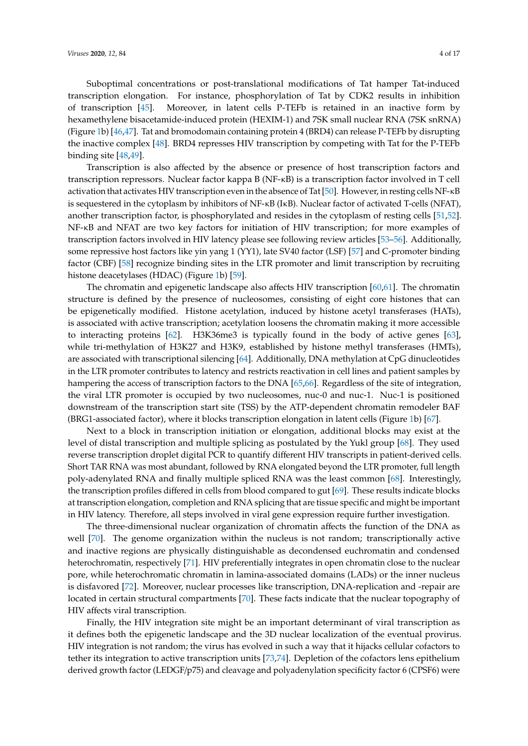Suboptimal concentrations or post-translational modifications of Tat hamper Tat-induced transcription elongation. For instance, phosphorylation of Tat by CDK2 results in inhibition of transcription [\[45\]](#page-11-12). Moreover, in latent cells P-TEFb is retained in an inactive form by hexamethylene bisacetamide-induced protein (HEXIM-1) and 7SK small nuclear RNA (7SK snRNA) (Figure [1b](#page-2-0)) [\[46,](#page-11-13)[47\]](#page-11-14). Tat and bromodomain containing protein 4 (BRD4) can release P-TEFb by disrupting the inactive complex [\[48\]](#page-11-15). BRD4 represses HIV transcription by competing with Tat for the P-TEFb binding site [\[48](#page-11-15)[,49\]](#page-11-16).

Transcription is also affected by the absence or presence of host transcription factors and transcription repressors. Nuclear factor kappa B (NF-κB) is a transcription factor involved in T cell activation that activates HIV transcription even in the absence of Tat [\[50\]](#page-11-17). However, in resting cells NF-κB is sequestered in the cytoplasm by inhibitors of NF-κB (IκB). Nuclear factor of activated T-cells (NFAT), another transcription factor, is phosphorylated and resides in the cytoplasm of resting cells [\[51,](#page-11-18)[52\]](#page-11-19). NF-κB and NFAT are two key factors for initiation of HIV transcription; for more examples of transcription factors involved in HIV latency please see following review articles [\[53](#page-12-0)[–56\]](#page-12-1). Additionally, some repressive host factors like yin yang 1 (YY1), late SV40 factor (LSF) [\[57\]](#page-12-2) and C-promoter binding factor (CBF) [\[58\]](#page-12-3) recognize binding sites in the LTR promoter and limit transcription by recruiting histone deacetylases (HDAC) (Figure [1b](#page-2-0)) [\[59\]](#page-12-4).

The chromatin and epigenetic landscape also affects HIV transcription [\[60](#page-12-5)[,61\]](#page-12-6). The chromatin structure is defined by the presence of nucleosomes, consisting of eight core histones that can be epigenetically modified. Histone acetylation, induced by histone acetyl transferases (HATs), is associated with active transcription; acetylation loosens the chromatin making it more accessible to interacting proteins [\[62\]](#page-12-7). H3K36me3 is typically found in the body of active genes [\[63\]](#page-12-8), while tri-methylation of H3K27 and H3K9, established by histone methyl transferases (HMTs), are associated with transcriptional silencing [\[64\]](#page-12-9). Additionally, DNA methylation at CpG dinucleotides in the LTR promoter contributes to latency and restricts reactivation in cell lines and patient samples by hampering the access of transcription factors to the DNA [\[65](#page-12-10)[,66\]](#page-12-11). Regardless of the site of integration, the viral LTR promoter is occupied by two nucleosomes, nuc-0 and nuc-1. Nuc-1 is positioned downstream of the transcription start site (TSS) by the ATP-dependent chromatin remodeler BAF (BRG1-associated factor), where it blocks transcription elongation in latent cells (Figure [1b](#page-2-0)) [\[67\]](#page-12-12).

Next to a block in transcription initiation or elongation, additional blocks may exist at the level of distal transcription and multiple splicing as postulated by the Yukl group [\[68\]](#page-12-13). They used reverse transcription droplet digital PCR to quantify different HIV transcripts in patient-derived cells. Short TAR RNA was most abundant, followed by RNA elongated beyond the LTR promoter, full length poly-adenylated RNA and finally multiple spliced RNA was the least common [\[68\]](#page-12-13). Interestingly, the transcription profiles differed in cells from blood compared to gut [\[69\]](#page-12-14). These results indicate blocks at transcription elongation, completion and RNA splicing that are tissue specific and might be important in HIV latency. Therefore, all steps involved in viral gene expression require further investigation.

The three-dimensional nuclear organization of chromatin affects the function of the DNA as well [\[70\]](#page-12-15). The genome organization within the nucleus is not random; transcriptionally active and inactive regions are physically distinguishable as decondensed euchromatin and condensed heterochromatin, respectively [\[71\]](#page-12-16). HIV preferentially integrates in open chromatin close to the nuclear pore, while heterochromatic chromatin in lamina-associated domains (LADs) or the inner nucleus is disfavored [\[72\]](#page-12-17). Moreover, nuclear processes like transcription, DNA-replication and -repair are located in certain structural compartments [\[70\]](#page-12-15). These facts indicate that the nuclear topography of HIV affects viral transcription.

Finally, the HIV integration site might be an important determinant of viral transcription as it defines both the epigenetic landscape and the 3D nuclear localization of the eventual provirus. HIV integration is not random; the virus has evolved in such a way that it hijacks cellular cofactors to tether its integration to active transcription units [\[73,](#page-13-0)[74\]](#page-13-1). Depletion of the cofactors lens epithelium derived growth factor (LEDGF/p75) and cleavage and polyadenylation specificity factor 6 (CPSF6) were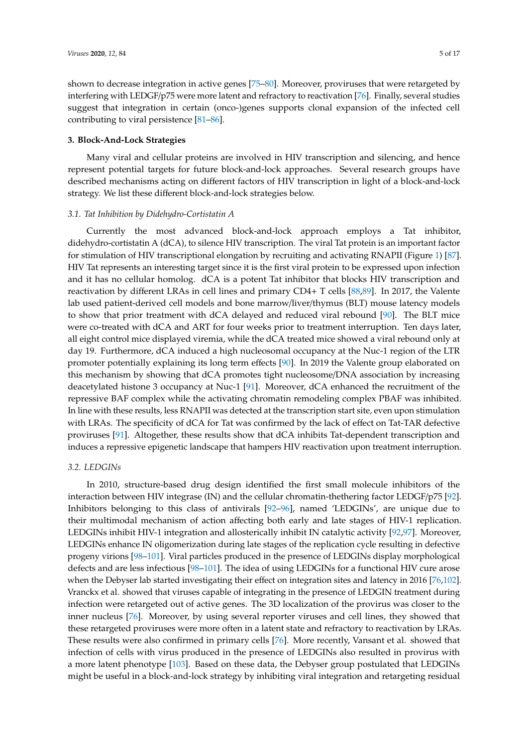shown to decrease integration in active genes [\[75–](#page-13-2)[80\]](#page-13-3). Moreover, proviruses that were retargeted by interfering with LEDGF/p75 were more latent and refractory to reactivation [\[76\]](#page-13-4). Finally, several studies suggest that integration in certain (onco-)genes supports clonal expansion of the infected cell contributing to viral persistence [\[81–](#page-13-5)[86\]](#page-13-6).

# **3. Block-And-Lock Strategies**

Many viral and cellular proteins are involved in HIV transcription and silencing, and hence represent potential targets for future block-and-lock approaches. Several research groups have described mechanisms acting on different factors of HIV transcription in light of a block-and-lock strategy. We list these different block-and-lock strategies below.

# *3.1. Tat Inhibition by Didehydro-Cortistatin A*

Currently the most advanced block-and-lock approach employs a Tat inhibitor, didehydro-cortistatin A (dCA), to silence HIV transcription. The viral Tat protein is an important factor for stimulation of HIV transcriptional elongation by recruiting and activating RNAPII (Figure [1\)](#page-2-0) [\[87\]](#page-13-7). HIV Tat represents an interesting target since it is the first viral protein to be expressed upon infection and it has no cellular homolog. dCA is a potent Tat inhibitor that blocks HIV transcription and reactivation by different LRAs in cell lines and primary CD4+ T cells [\[88,](#page-13-8)[89\]](#page-13-9). In 2017, the Valente lab used patient-derived cell models and bone marrow/liver/thymus (BLT) mouse latency models to show that prior treatment with dCA delayed and reduced viral rebound [\[90\]](#page-13-10). The BLT mice were co-treated with dCA and ART for four weeks prior to treatment interruption. Ten days later, all eight control mice displayed viremia, while the dCA treated mice showed a viral rebound only at day 19. Furthermore, dCA induced a high nucleosomal occupancy at the Nuc-1 region of the LTR promoter potentially explaining its long term effects [\[90\]](#page-13-10). In 2019 the Valente group elaborated on this mechanism by showing that dCA promotes tight nucleosome/DNA association by increasing deacetylated histone 3 occupancy at Nuc-1 [\[91\]](#page-13-11). Moreover, dCA enhanced the recruitment of the repressive BAF complex while the activating chromatin remodeling complex PBAF was inhibited. In line with these results, less RNAPII was detected at the transcription start site, even upon stimulation with LRAs. The specificity of dCA for Tat was confirmed by the lack of effect on Tat-TAR defective proviruses [\[91\]](#page-13-11). Altogether, these results show that dCA inhibits Tat-dependent transcription and induces a repressive epigenetic landscape that hampers HIV reactivation upon treatment interruption.

#### *3.2. LEDGINs*

In 2010, structure-based drug design identified the first small molecule inhibitors of the interaction between HIV integrase (IN) and the cellular chromatin-thethering factor LEDGF/p75 [\[92\]](#page-14-0). Inhibitors belonging to this class of antivirals [\[92–](#page-14-0)[96\]](#page-14-1), named 'LEDGINs', are unique due to their multimodal mechanism of action affecting both early and late stages of HIV-1 replication. LEDGINs inhibit HIV-1 integration and allosterically inhibit IN catalytic activity [\[92,](#page-14-0)[97\]](#page-14-2). Moreover, LEDGINs enhance IN oligomerization during late stages of the replication cycle resulting in defective progeny virions [\[98–](#page-14-3)[101\]](#page-14-4). Viral particles produced in the presence of LEDGINs display morphological defects and are less infectious [\[98–](#page-14-3)[101\]](#page-14-4). The idea of using LEDGINs for a functional HIV cure arose when the Debyser lab started investigating their effect on integration sites and latency in 2016 [\[76](#page-13-4)[,102\]](#page-14-5). Vranckx et al. showed that viruses capable of integrating in the presence of LEDGIN treatment during infection were retargeted out of active genes. The 3D localization of the provirus was closer to the inner nucleus [\[76\]](#page-13-4). Moreover, by using several reporter viruses and cell lines, they showed that these retargeted proviruses were more often in a latent state and refractory to reactivation by LRAs. These results were also confirmed in primary cells [\[76\]](#page-13-4). More recently, Vansant et al. showed that infection of cells with virus produced in the presence of LEDGINs also resulted in provirus with a more latent phenotype [\[103\]](#page-14-6). Based on these data, the Debyser group postulated that LEDGINs might be useful in a block-and-lock strategy by inhibiting viral integration and retargeting residual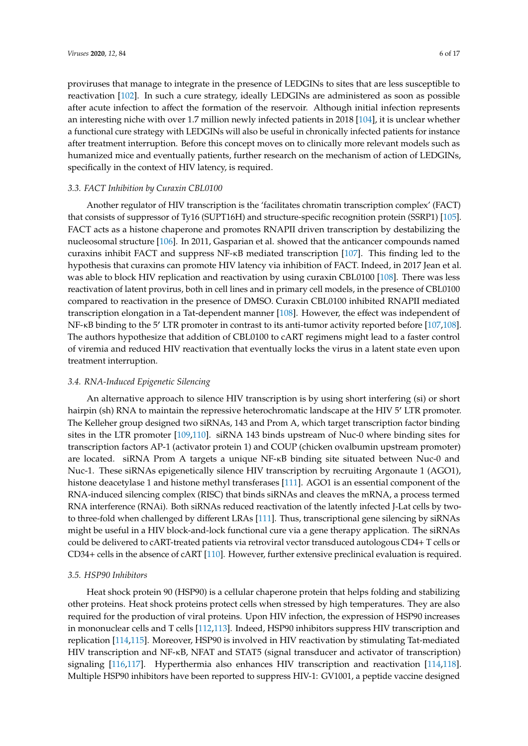proviruses that manage to integrate in the presence of LEDGINs to sites that are less susceptible to reactivation [\[102\]](#page-14-5). In such a cure strategy, ideally LEDGINs are administered as soon as possible after acute infection to affect the formation of the reservoir. Although initial infection represents an interesting niche with over 1.7 million newly infected patients in 2018 [\[104\]](#page-14-7), it is unclear whether a functional cure strategy with LEDGINs will also be useful in chronically infected patients for instance after treatment interruption. Before this concept moves on to clinically more relevant models such as humanized mice and eventually patients, further research on the mechanism of action of LEDGINs, specifically in the context of HIV latency, is required.

# *3.3. FACT Inhibition by Curaxin CBL0100*

Another regulator of HIV transcription is the 'facilitates chromatin transcription complex' (FACT) that consists of suppressor of Ty16 (SUPT16H) and structure-specific recognition protein (SSRP1) [\[105\]](#page-14-8). FACT acts as a histone chaperone and promotes RNAPII driven transcription by destabilizing the nucleosomal structure [\[106\]](#page-14-9). In 2011, Gasparian et al. showed that the anticancer compounds named curaxins inhibit FACT and suppress NF-κB mediated transcription [\[107\]](#page-14-10). This finding led to the hypothesis that curaxins can promote HIV latency via inhibition of FACT. Indeed, in 2017 Jean et al. was able to block HIV replication and reactivation by using curaxin CBL0100 [\[108\]](#page-14-11). There was less reactivation of latent provirus, both in cell lines and in primary cell models, in the presence of CBL0100 compared to reactivation in the presence of DMSO. Curaxin CBL0100 inhibited RNAPII mediated transcription elongation in a Tat-dependent manner [\[108\]](#page-14-11). However, the effect was independent of  $NF-\kappa B$  binding to the 5<sup>'</sup> LTR promoter in contrast to its anti-tumor activity reported before [\[107,](#page-14-10)[108\]](#page-14-11). The authors hypothesize that addition of CBL0100 to cART regimens might lead to a faster control of viremia and reduced HIV reactivation that eventually locks the virus in a latent state even upon treatment interruption.

# *3.4. RNA-Induced Epigenetic Silencing*

An alternative approach to silence HIV transcription is by using short interfering (si) or short hairpin (sh) RNA to maintain the repressive heterochromatic landscape at the HIV 5' LTR promoter. The Kelleher group designed two siRNAs, 143 and Prom A, which target transcription factor binding sites in the LTR promoter [\[109,](#page-14-12)[110\]](#page-15-0). siRNA 143 binds upstream of Nuc-0 where binding sites for transcription factors AP-1 (activator protein 1) and COUP (chicken ovalbumin upstream promoter) are located. siRNA Prom A targets a unique NF-κB binding site situated between Nuc-0 and Nuc-1. These siRNAs epigenetically silence HIV transcription by recruiting Argonaute 1 (AGO1), histone deacetylase 1 and histone methyl transferases [\[111\]](#page-15-1). AGO1 is an essential component of the RNA-induced silencing complex (RISC) that binds siRNAs and cleaves the mRNA, a process termed RNA interference (RNAi). Both siRNAs reduced reactivation of the latently infected J-Lat cells by twoto three-fold when challenged by different LRAs [\[111\]](#page-15-1). Thus, transcriptional gene silencing by siRNAs might be useful in a HIV block-and-lock functional cure via a gene therapy application. The siRNAs could be delivered to cART-treated patients via retroviral vector transduced autologous CD4+ T cells or CD34+ cells in the absence of cART [\[110\]](#page-15-0). However, further extensive preclinical evaluation is required.

#### *3.5. HSP90 Inhibitors*

Heat shock protein 90 (HSP90) is a cellular chaperone protein that helps folding and stabilizing other proteins. Heat shock proteins protect cells when stressed by high temperatures. They are also required for the production of viral proteins. Upon HIV infection, the expression of HSP90 increases in mononuclear cells and T cells [\[112](#page-15-2)[,113\]](#page-15-3). Indeed, HSP90 inhibitors suppress HIV transcription and replication [\[114,](#page-15-4)[115\]](#page-15-5). Moreover, HSP90 is involved in HIV reactivation by stimulating Tat-mediated HIV transcription and NF-κB, NFAT and STAT5 (signal transducer and activator of transcription) signaling [\[116,](#page-15-6)[117\]](#page-15-7). Hyperthermia also enhances HIV transcription and reactivation [\[114,](#page-15-4)[118\]](#page-15-8). Multiple HSP90 inhibitors have been reported to suppress HIV-1: GV1001, a peptide vaccine designed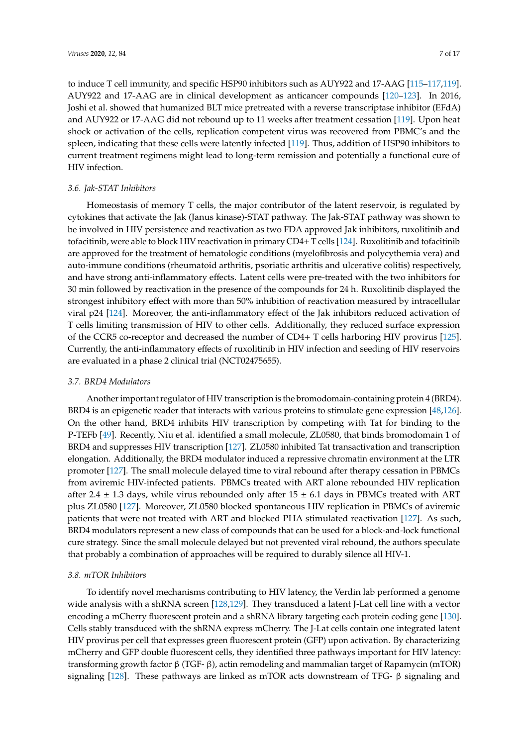to induce T cell immunity, and specific HSP90 inhibitors such as AUY922 and 17-AAG [\[115](#page-15-5)[–117,](#page-15-7)[119\]](#page-15-9). AUY922 and 17-AAG are in clinical development as anticancer compounds [\[120–](#page-15-10)[123\]](#page-15-11). In 2016, Joshi et al. showed that humanized BLT mice pretreated with a reverse transcriptase inhibitor (EFdA) and AUY922 or 17-AAG did not rebound up to 11 weeks after treatment cessation [\[119\]](#page-15-9). Upon heat shock or activation of the cells, replication competent virus was recovered from PBMC's and the spleen, indicating that these cells were latently infected [\[119\]](#page-15-9). Thus, addition of HSP90 inhibitors to current treatment regimens might lead to long-term remission and potentially a functional cure of HIV infection.

# *3.6. Jak-STAT Inhibitors*

Homeostasis of memory T cells, the major contributor of the latent reservoir, is regulated by cytokines that activate the Jak (Janus kinase)-STAT pathway. The Jak-STAT pathway was shown to be involved in HIV persistence and reactivation as two FDA approved Jak inhibitors, ruxolitinib and tofacitinib, were able to block HIV reactivation in primary CD4+ T cells [\[124\]](#page-15-12). Ruxolitinib and tofacitinib are approved for the treatment of hematologic conditions (myelofibrosis and polycythemia vera) and auto-immune conditions (rheumatoid arthritis, psoriatic arthritis and ulcerative colitis) respectively, and have strong anti-inflammatory effects. Latent cells were pre-treated with the two inhibitors for 30 min followed by reactivation in the presence of the compounds for 24 h. Ruxolitinib displayed the strongest inhibitory effect with more than 50% inhibition of reactivation measured by intracellular viral p24 [\[124\]](#page-15-12). Moreover, the anti-inflammatory effect of the Jak inhibitors reduced activation of T cells limiting transmission of HIV to other cells. Additionally, they reduced surface expression of the CCR5 co-receptor and decreased the number of CD4+ T cells harboring HIV provirus [\[125\]](#page-15-13). Currently, the anti-inflammatory effects of ruxolitinib in HIV infection and seeding of HIV reservoirs are evaluated in a phase 2 clinical trial (NCT02475655).

## *3.7. BRD4 Modulators*

Another important regulator of HIV transcription is the bromodomain-containing protein 4 (BRD4). BRD4 is an epigenetic reader that interacts with various proteins to stimulate gene expression [\[48](#page-11-15)[,126\]](#page-15-14). On the other hand, BRD4 inhibits HIV transcription by competing with Tat for binding to the P-TEFb [\[49\]](#page-11-16). Recently, Niu et al. identified a small molecule, ZL0580, that binds bromodomain 1 of BRD4 and suppresses HIV transcription [\[127\]](#page-15-15). ZL0580 inhibited Tat transactivation and transcription elongation. Additionally, the BRD4 modulator induced a repressive chromatin environment at the LTR promoter [\[127\]](#page-15-15). The small molecule delayed time to viral rebound after therapy cessation in PBMCs from aviremic HIV-infected patients. PBMCs treated with ART alone rebounded HIV replication after 2.4  $\pm$  1.3 days, while virus rebounded only after 15  $\pm$  6.1 days in PBMCs treated with ART plus ZL0580 [\[127\]](#page-15-15). Moreover, ZL0580 blocked spontaneous HIV replication in PBMCs of aviremic patients that were not treated with ART and blocked PHA stimulated reactivation [\[127\]](#page-15-15). As such, BRD4 modulators represent a new class of compounds that can be used for a block-and-lock functional cure strategy. Since the small molecule delayed but not prevented viral rebound, the authors speculate that probably a combination of approaches will be required to durably silence all HIV-1.

# *3.8. mTOR Inhibitors*

To identify novel mechanisms contributing to HIV latency, the Verdin lab performed a genome wide analysis with a shRNA screen [\[128,](#page-15-16)[129\]](#page-15-17). They transduced a latent J-Lat cell line with a vector encoding a mCherry fluorescent protein and a shRNA library targeting each protein coding gene [\[130\]](#page-16-0). Cells stably transduced with the shRNA express mCherry. The J-Lat cells contain one integrated latent HIV provirus per cell that expresses green fluorescent protein (GFP) upon activation. By characterizing mCherry and GFP double fluorescent cells, they identified three pathways important for HIV latency: transforming growth factor β (TGF- β), actin remodeling and mammalian target of Rapamycin (mTOR) signaling [\[128\]](#page-15-16). These pathways are linked as mTOR acts downstream of TFG-  $\beta$  signaling and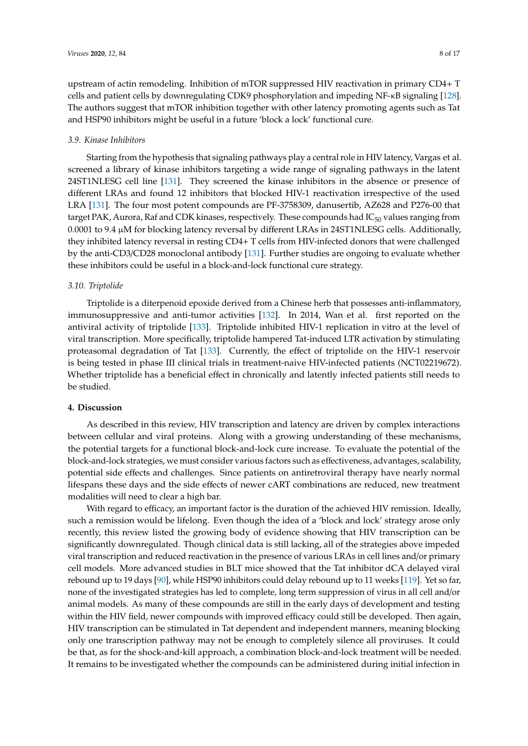upstream of actin remodeling. Inhibition of mTOR suppressed HIV reactivation in primary CD4+ T cells and patient cells by downregulating CDK9 phosphorylation and impeding NF-κB signaling [\[128\]](#page-15-16). The authors suggest that mTOR inhibition together with other latency promoting agents such as Tat and HSP90 inhibitors might be useful in a future 'block a lock' functional cure.

## *3.9. Kinase Inhibitors*

Starting from the hypothesis that signaling pathways play a central role in HIV latency, Vargas et al. screened a library of kinase inhibitors targeting a wide range of signaling pathways in the latent 24ST1NLESG cell line [\[131\]](#page-16-1). They screened the kinase inhibitors in the absence or presence of different LRAs and found 12 inhibitors that blocked HIV-1 reactivation irrespective of the used LRA [\[131\]](#page-16-1). The four most potent compounds are PF-3758309, danusertib, AZ628 and P276-00 that target PAK, Aurora, Raf and CDK kinases, respectively. These compounds had  $IC_{50}$  values ranging from 0.0001 to 9.4 µM for blocking latency reversal by different LRAs in 24ST1NLESG cells. Additionally, they inhibited latency reversal in resting CD4+ T cells from HIV-infected donors that were challenged by the anti-CD3/CD28 monoclonal antibody [\[131\]](#page-16-1). Further studies are ongoing to evaluate whether these inhibitors could be useful in a block-and-lock functional cure strategy.

# *3.10. Triptolide*

Triptolide is a diterpenoid epoxide derived from a Chinese herb that possesses anti-inflammatory, immunosuppressive and anti-tumor activities [\[132\]](#page-16-2). In 2014, Wan et al. first reported on the antiviral activity of triptolide [\[133\]](#page-16-3). Triptolide inhibited HIV-1 replication in vitro at the level of viral transcription. More specifically, triptolide hampered Tat-induced LTR activation by stimulating proteasomal degradation of Tat [\[133\]](#page-16-3). Currently, the effect of triptolide on the HIV-1 reservoir is being tested in phase III clinical trials in treatment-naive HIV-infected patients (NCT02219672). Whether triptolide has a beneficial effect in chronically and latently infected patients still needs to be studied.

# **4. Discussion**

As described in this review, HIV transcription and latency are driven by complex interactions between cellular and viral proteins. Along with a growing understanding of these mechanisms, the potential targets for a functional block-and-lock cure increase. To evaluate the potential of the block-and-lock strategies, we must consider various factors such as effectiveness, advantages, scalability, potential side effects and challenges. Since patients on antiretroviral therapy have nearly normal lifespans these days and the side effects of newer cART combinations are reduced, new treatment modalities will need to clear a high bar.

With regard to efficacy, an important factor is the duration of the achieved HIV remission. Ideally, such a remission would be lifelong. Even though the idea of a 'block and lock' strategy arose only recently, this review listed the growing body of evidence showing that HIV transcription can be significantly downregulated. Though clinical data is still lacking, all of the strategies above impeded viral transcription and reduced reactivation in the presence of various LRAs in cell lines and/or primary cell models. More advanced studies in BLT mice showed that the Tat inhibitor dCA delayed viral rebound up to 19 days [\[90\]](#page-13-10), while HSP90 inhibitors could delay rebound up to 11 weeks [\[119\]](#page-15-9). Yet so far, none of the investigated strategies has led to complete, long term suppression of virus in all cell and/or animal models. As many of these compounds are still in the early days of development and testing within the HIV field, newer compounds with improved efficacy could still be developed. Then again, HIV transcription can be stimulated in Tat dependent and independent manners, meaning blocking only one transcription pathway may not be enough to completely silence all proviruses. It could be that, as for the shock-and-kill approach, a combination block-and-lock treatment will be needed. It remains to be investigated whether the compounds can be administered during initial infection in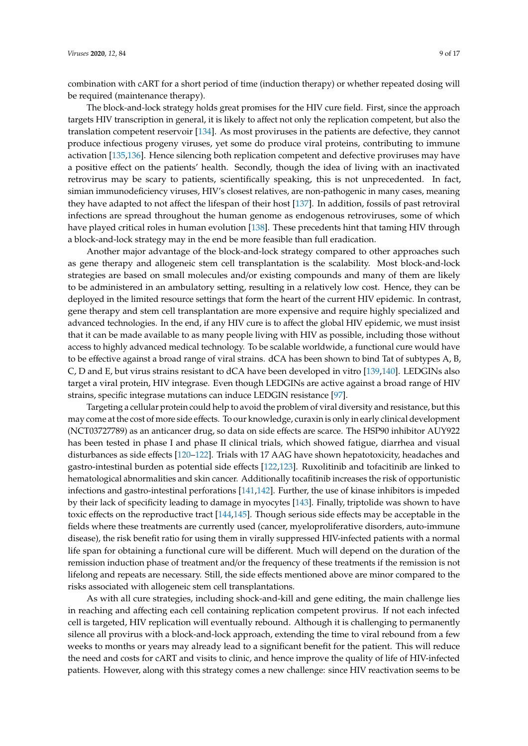combination with cART for a short period of time (induction therapy) or whether repeated dosing will be required (maintenance therapy).

The block-and-lock strategy holds great promises for the HIV cure field. First, since the approach targets HIV transcription in general, it is likely to affect not only the replication competent, but also the translation competent reservoir [\[134\]](#page-16-4). As most proviruses in the patients are defective, they cannot produce infectious progeny viruses, yet some do produce viral proteins, contributing to immune activation [\[135](#page-16-5)[,136\]](#page-16-6). Hence silencing both replication competent and defective proviruses may have a positive effect on the patients' health. Secondly, though the idea of living with an inactivated retrovirus may be scary to patients, scientifically speaking, this is not unprecedented. In fact, simian immunodeficiency viruses, HIV's closest relatives, are non-pathogenic in many cases, meaning they have adapted to not affect the lifespan of their host [\[137\]](#page-16-7). In addition, fossils of past retroviral infections are spread throughout the human genome as endogenous retroviruses, some of which have played critical roles in human evolution [\[138\]](#page-16-8). These precedents hint that taming HIV through a block-and-lock strategy may in the end be more feasible than full eradication.

Another major advantage of the block-and-lock strategy compared to other approaches such as gene therapy and allogeneic stem cell transplantation is the scalability. Most block-and-lock strategies are based on small molecules and/or existing compounds and many of them are likely to be administered in an ambulatory setting, resulting in a relatively low cost. Hence, they can be deployed in the limited resource settings that form the heart of the current HIV epidemic. In contrast, gene therapy and stem cell transplantation are more expensive and require highly specialized and advanced technologies. In the end, if any HIV cure is to affect the global HIV epidemic, we must insist that it can be made available to as many people living with HIV as possible, including those without access to highly advanced medical technology. To be scalable worldwide, a functional cure would have to be effective against a broad range of viral strains. dCA has been shown to bind Tat of subtypes A, B, C, D and E, but virus strains resistant to dCA have been developed in vitro [\[139,](#page-16-9)[140\]](#page-16-10). LEDGINs also target a viral protein, HIV integrase. Even though LEDGINs are active against a broad range of HIV strains, specific integrase mutations can induce LEDGIN resistance [\[97\]](#page-14-2).

Targeting a cellular protein could help to avoid the problem of viral diversity and resistance, but this may come at the cost of more side effects. To our knowledge, curaxin is only in early clinical development (NCT03727789) as an anticancer drug, so data on side effects are scarce. The HSP90 inhibitor AUY922 has been tested in phase I and phase II clinical trials, which showed fatigue, diarrhea and visual disturbances as side effects [\[120](#page-15-10)[–122\]](#page-15-18). Trials with 17 AAG have shown hepatotoxicity, headaches and gastro-intestinal burden as potential side effects [\[122,](#page-15-18)[123\]](#page-15-11). Ruxolitinib and tofacitinib are linked to hematological abnormalities and skin cancer. Additionally tocafitinib increases the risk of opportunistic infections and gastro-intestinal perforations [\[141,](#page-16-11)[142\]](#page-16-12). Further, the use of kinase inhibitors is impeded by their lack of specificity leading to damage in myocytes [\[143\]](#page-16-13). Finally, triptolide was shown to have toxic effects on the reproductive tract [\[144](#page-16-14)[,145\]](#page-16-15). Though serious side effects may be acceptable in the fields where these treatments are currently used (cancer, myeloproliferative disorders, auto-immune disease), the risk benefit ratio for using them in virally suppressed HIV-infected patients with a normal life span for obtaining a functional cure will be different. Much will depend on the duration of the remission induction phase of treatment and/or the frequency of these treatments if the remission is not lifelong and repeats are necessary. Still, the side effects mentioned above are minor compared to the risks associated with allogeneic stem cell transplantations.

As with all cure strategies, including shock-and-kill and gene editing, the main challenge lies in reaching and affecting each cell containing replication competent provirus. If not each infected cell is targeted, HIV replication will eventually rebound. Although it is challenging to permanently silence all provirus with a block-and-lock approach, extending the time to viral rebound from a few weeks to months or years may already lead to a significant benefit for the patient. This will reduce the need and costs for cART and visits to clinic, and hence improve the quality of life of HIV-infected patients. However, along with this strategy comes a new challenge: since HIV reactivation seems to be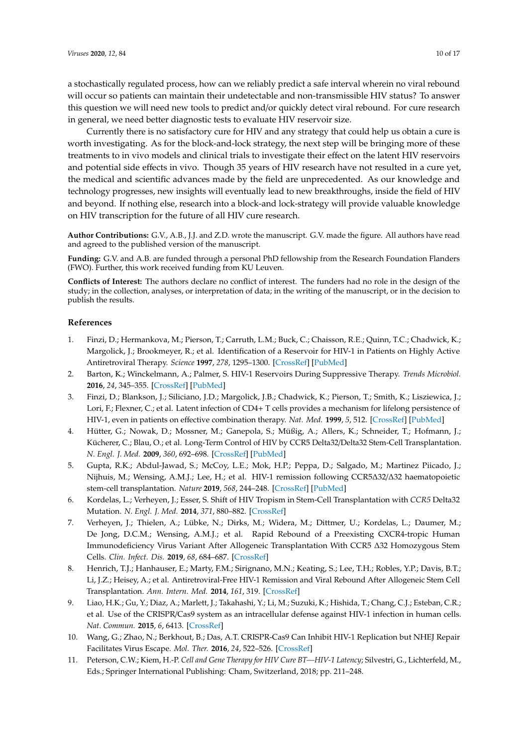a stochastically regulated process, how can we reliably predict a safe interval wherein no viral rebound will occur so patients can maintain their undetectable and non-transmissible HIV status? To answer this question we will need new tools to predict and/or quickly detect viral rebound. For cure research in general, we need better diagnostic tests to evaluate HIV reservoir size.

Currently there is no satisfactory cure for HIV and any strategy that could help us obtain a cure is worth investigating. As for the block-and-lock strategy, the next step will be bringing more of these treatments to in vivo models and clinical trials to investigate their effect on the latent HIV reservoirs and potential side effects in vivo. Though 35 years of HIV research have not resulted in a cure yet, the medical and scientific advances made by the field are unprecedented. As our knowledge and technology progresses, new insights will eventually lead to new breakthroughs, inside the field of HIV and beyond. If nothing else, research into a block-and lock-strategy will provide valuable knowledge on HIV transcription for the future of all HIV cure research.

**Author Contributions:** G.V., A.B., J.J. and Z.D. wrote the manuscript. G.V. made the figure. All authors have read and agreed to the published version of the manuscript.

**Funding:** G.V. and A.B. are funded through a personal PhD fellowship from the Research Foundation Flanders (FWO). Further, this work received funding from KU Leuven.

**Conflicts of Interest:** The authors declare no conflict of interest. The funders had no role in the design of the study; in the collection, analyses, or interpretation of data; in the writing of the manuscript, or in the decision to publish the results.

## **References**

- <span id="page-9-0"></span>1. Finzi, D.; Hermankova, M.; Pierson, T.; Carruth, L.M.; Buck, C.; Chaisson, R.E.; Quinn, T.C.; Chadwick, K.; Margolick, J.; Brookmeyer, R.; et al. Identification of a Reservoir for HIV-1 in Patients on Highly Active Antiretroviral Therapy. *Science* **1997**, *278*, 1295–1300. [\[CrossRef\]](http://dx.doi.org/10.1126/science.278.5341.1295) [\[PubMed\]](http://www.ncbi.nlm.nih.gov/pubmed/9360927)
- <span id="page-9-1"></span>2. Barton, K.; Winckelmann, A.; Palmer, S. HIV-1 Reservoirs During Suppressive Therapy. *Trends Microbiol.* **2016**, *24*, 345–355. [\[CrossRef\]](http://dx.doi.org/10.1016/j.tim.2016.01.006) [\[PubMed\]](http://www.ncbi.nlm.nih.gov/pubmed/26875617)
- <span id="page-9-2"></span>3. Finzi, D.; Blankson, J.; Siliciano, J.D.; Margolick, J.B.; Chadwick, K.; Pierson, T.; Smith, K.; Lisziewica, J.; Lori, F.; Flexner, C.; et al. Latent infection of CD4+ T cells provides a mechanism for lifelong persistence of HIV-1, even in patients on effective combination therapy. *Nat. Med.* **1999**, *5*, 512. [\[CrossRef\]](http://dx.doi.org/10.1038/8394) [\[PubMed\]](http://www.ncbi.nlm.nih.gov/pubmed/10229227)
- <span id="page-9-3"></span>4. Hütter, G.; Nowak, D.; Mossner, M.; Ganepola, S.; Müßig, A.; Allers, K.; Schneider, T.; Hofmann, J.; Kücherer, C.; Blau, O.; et al. Long-Term Control of HIV by CCR5 Delta32/Delta32 Stem-Cell Transplantation. *N. Engl. J. Med.* **2009**, *360*, 692–698. [\[CrossRef\]](http://dx.doi.org/10.1056/NEJMoa0802905) [\[PubMed\]](http://www.ncbi.nlm.nih.gov/pubmed/19213682)
- <span id="page-9-4"></span>5. Gupta, R.K.; Abdul-Jawad, S.; McCoy, L.E.; Mok, H.P.; Peppa, D.; Salgado, M.; Martinez Piicado, J.; Nijhuis, M.; Wensing, A.M.J.; Lee, H.; et al. HIV-1 remission following CCR5∆32/∆32 haematopoietic stem-cell transplantation. *Nature* **2019**, *568*, 244–248. [\[CrossRef\]](http://dx.doi.org/10.1038/s41586-019-1027-4) [\[PubMed\]](http://www.ncbi.nlm.nih.gov/pubmed/30836379)
- <span id="page-9-5"></span>6. Kordelas, L.; Verheyen, J.; Esser, S. Shift of HIV Tropism in Stem-Cell Transplantation with *CCR5* Delta32 Mutation. *N. Engl. J. Med.* **2014**, *371*, 880–882. [\[CrossRef\]](http://dx.doi.org/10.1056/NEJMc1405805)
- <span id="page-9-6"></span>7. Verheyen, J.; Thielen, A.; Lübke, N.; Dirks, M.; Widera, M.; Dittmer, U.; Kordelas, L.; Daumer, M.; De Jong, D.C.M.; Wensing, A.M.J.; et al. Rapid Rebound of a Preexisting CXCR4-tropic Human Immunodeficiency Virus Variant After Allogeneic Transplantation With CCR5 ∆32 Homozygous Stem Cells. *Clin. Infect. Dis.* **2019**, *68*, 684–687. [\[CrossRef\]](http://dx.doi.org/10.1093/cid/ciy565)
- <span id="page-9-7"></span>8. Henrich, T.J.; Hanhauser, E.; Marty, F.M.; Sirignano, M.N.; Keating, S.; Lee, T.H.; Robles, Y.P.; Davis, B.T.; Li, J.Z.; Heisey, A.; et al. Antiretroviral-Free HIV-1 Remission and Viral Rebound After Allogeneic Stem Cell Transplantation. *Ann. Intern. Med.* **2014**, *161*, 319. [\[CrossRef\]](http://dx.doi.org/10.7326/M14-1027)
- <span id="page-9-8"></span>9. Liao, H.K.; Gu, Y.; Diaz, A.; Marlett, J.; Takahashi, Y.; Li, M.; Suzuki, K.; Hishida, T.; Chang, C.J.; Esteban, C.R.; et al. Use of the CRISPR/Cas9 system as an intracellular defense against HIV-1 infection in human cells. *Nat. Commun.* **2015**, *6*, 6413. [\[CrossRef\]](http://dx.doi.org/10.1038/ncomms7413)
- 10. Wang, G.; Zhao, N.; Berkhout, B.; Das, A.T. CRISPR-Cas9 Can Inhibit HIV-1 Replication but NHEJ Repair Facilitates Virus Escape. *Mol. Ther.* **2016**, *24*, 522–526. [\[CrossRef\]](http://dx.doi.org/10.1038/mt.2016.24)
- <span id="page-9-9"></span>11. Peterson, C.W.; Kiem, H.-P. *Cell and Gene Therapy for HIV Cure BT—HIV-1 Latency*; Silvestri, G., Lichterfeld, M., Eds.; Springer International Publishing: Cham, Switzerland, 2018; pp. 211–248.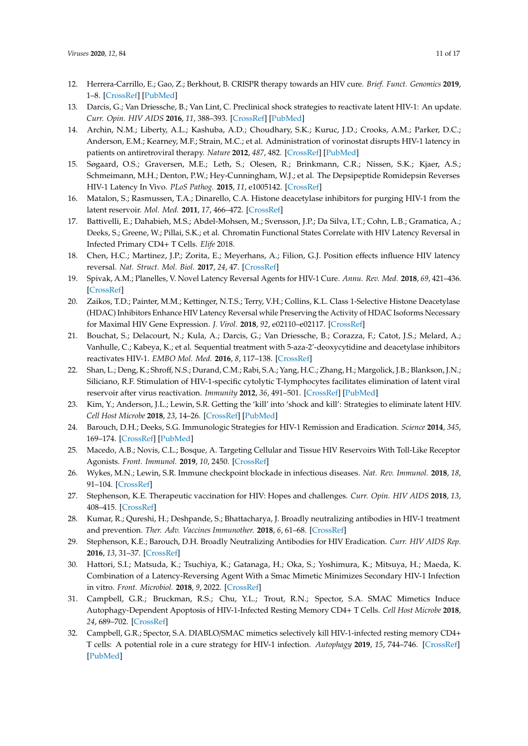- <span id="page-10-0"></span>12. Herrera-Carrillo, E.; Gao, Z.; Berkhout, B. CRISPR therapy towards an HIV cure. *Brief. Funct. Genomics* **2019**, 1–8. [\[CrossRef\]](http://dx.doi.org/10.1093/bfgp/elz021) [\[PubMed\]](http://www.ncbi.nlm.nih.gov/pubmed/31711197)
- <span id="page-10-1"></span>13. Darcis, G.; Van Driessche, B.; Van Lint, C. Preclinical shock strategies to reactivate latent HIV-1: An update. *Curr. Opin. HIV AIDS* **2016**, *11*, 388–393. [\[CrossRef\]](http://dx.doi.org/10.1097/COH.0000000000000288) [\[PubMed\]](http://www.ncbi.nlm.nih.gov/pubmed/27259046)
- <span id="page-10-2"></span>14. Archin, N.M.; Liberty, A.L.; Kashuba, A.D.; Choudhary, S.K.; Kuruc, J.D.; Crooks, A.M.; Parker, D.C.; Anderson, E.M.; Kearney, M.F.; Strain, M.C.; et al. Administration of vorinostat disrupts HIV-1 latency in patients on antiretroviral therapy. *Nature* **2012**, *487*, 482. [\[CrossRef\]](http://dx.doi.org/10.1038/nature11286) [\[PubMed\]](http://www.ncbi.nlm.nih.gov/pubmed/22837004)
- 15. Søgaard, O.S.; Graversen, M.E.; Leth, S.; Olesen, R.; Brinkmann, C.R.; Nissen, S.K.; Kjaer, A.S.; Schmeimann, M.H.; Denton, P.W.; Hey-Cunningham, W.J.; et al. The Depsipeptide Romidepsin Reverses HIV-1 Latency In Vivo. *PLoS Pathog.* **2015**, *11*, e1005142. [\[CrossRef\]](http://dx.doi.org/10.1371/journal.ppat.1005142)
- <span id="page-10-3"></span>16. Matalon, S.; Rasmussen, T.A.; Dinarello, C.A. Histone deacetylase inhibitors for purging HIV-1 from the latent reservoir. *Mol. Med.* **2011**, *17*, 466–472. [\[CrossRef\]](http://dx.doi.org/10.2119/molmed.2011.00076)
- <span id="page-10-4"></span>17. Battivelli, E.; Dahabieh, M.S.; Abdel-Mohsen, M.; Svensson, J.P.; Da Silva, I.T.; Cohn, L.B.; Gramatica, A.; Deeks, S.; Greene, W.; Pillai, S.K.; et al. Chromatin Functional States Correlate with HIV Latency Reversal in Infected Primary CD4+ T Cells. *Elife* 2018.
- <span id="page-10-5"></span>18. Chen, H.C.; Martinez, J.P.; Zorita, E.; Meyerhans, A.; Filion, G.J. Position effects influence HIV latency reversal. *Nat. Struct. Mol. Biol.* **2017**, *24*, 47. [\[CrossRef\]](http://dx.doi.org/10.1038/nsmb.3328)
- <span id="page-10-6"></span>19. Spivak, A.M.; Planelles, V. Novel Latency Reversal Agents for HIV-1 Cure. *Annu. Rev. Med.* **2018**, *69*, 421–436. [\[CrossRef\]](http://dx.doi.org/10.1146/annurev-med-052716-031710)
- 20. Zaikos, T.D.; Painter, M.M.; Kettinger, N.T.S.; Terry, V.H.; Collins, K.L. Class 1-Selective Histone Deacetylase (HDAC) Inhibitors Enhance HIV Latency Reversal while Preserving the Activity of HDAC Isoforms Necessary for Maximal HIV Gene Expression. *J. Virol.* **2018**, *92*, e02110–e02117. [\[CrossRef\]](http://dx.doi.org/10.1128/JVI.02110-17)
- <span id="page-10-7"></span>21. Bouchat, S.; Delacourt, N.; Kula, A.; Darcis, G.; Van Driessche, B.; Corazza, F.; Catot, J.S.; Melard, A.; Vanhulle, C.; Kabeya, K.; et al. Sequential treatment with 5-aza-2'-deoxycytidine and deacetylase inhibitors reactivates HIV-1. *EMBO Mol. Med.* **2016**, *8*, 117–138. [\[CrossRef\]](http://dx.doi.org/10.15252/emmm.201505557)
- <span id="page-10-8"></span>22. Shan, L.; Deng, K.; Shroff, N.S.; Durand, C.M.; Rabi, S.A.; Yang, H.C.; Zhang, H.; Margolick, J.B.; Blankson, J.N.; Siliciano, R.F. Stimulation of HIV-1-specific cytolytic T-lymphocytes facilitates elimination of latent viral reservoir after virus reactivation. *Immunity* **2012**, *36*, 491–501. [\[CrossRef\]](http://dx.doi.org/10.1016/j.immuni.2012.01.014) [\[PubMed\]](http://www.ncbi.nlm.nih.gov/pubmed/22406268)
- <span id="page-10-9"></span>23. Kim, Y.; Anderson, J.L.; Lewin, S.R. Getting the 'kill' into 'shock and kill': Strategies to eliminate latent HIV. *Cell Host Microbe* **2018**, *23*, 14–26. [\[CrossRef\]](http://dx.doi.org/10.1016/j.chom.2017.12.004) [\[PubMed\]](http://www.ncbi.nlm.nih.gov/pubmed/29324227)
- <span id="page-10-10"></span>24. Barouch, D.H.; Deeks, S.G. Immunologic Strategies for HIV-1 Remission and Eradication. *Science* **2014**, *345*, 169–174. [\[CrossRef\]](http://dx.doi.org/10.1126/science.1255512) [\[PubMed\]](http://www.ncbi.nlm.nih.gov/pubmed/25013067)
- <span id="page-10-11"></span>25. Macedo, A.B.; Novis, C.L.; Bosque, A. Targeting Cellular and Tissue HIV Reservoirs With Toll-Like Receptor Agonists. *Front. Immunol.* **2019**, *10*, 2450. [\[CrossRef\]](http://dx.doi.org/10.3389/fimmu.2019.02450)
- <span id="page-10-12"></span>26. Wykes, M.N.; Lewin, S.R. Immune checkpoint blockade in infectious diseases. *Nat. Rev. Immunol.* **2018**, *18*, 91–104. [\[CrossRef\]](http://dx.doi.org/10.1038/nri.2017.112)
- <span id="page-10-13"></span>27. Stephenson, K.E. Therapeutic vaccination for HIV: Hopes and challenges. *Curr. Opin. HIV AIDS* **2018**, *13*, 408–415. [\[CrossRef\]](http://dx.doi.org/10.1097/COH.0000000000000491)
- <span id="page-10-14"></span>28. Kumar, R.; Qureshi, H.; Deshpande, S.; Bhattacharya, J. Broadly neutralizing antibodies in HIV-1 treatment and prevention. *Ther. Adv. Vaccines Immunother.* **2018**, *6*, 61–68. [\[CrossRef\]](http://dx.doi.org/10.1177/2515135518800689)
- <span id="page-10-15"></span>29. Stephenson, K.E.; Barouch, D.H. Broadly Neutralizing Antibodies for HIV Eradication. *Curr. HIV AIDS Rep.* **2016**, *13*, 31–37. [\[CrossRef\]](http://dx.doi.org/10.1007/s11904-016-0299-7)
- <span id="page-10-16"></span>30. Hattori, S.I.; Matsuda, K.; Tsuchiya, K.; Gatanaga, H.; Oka, S.; Yoshimura, K.; Mitsuya, H.; Maeda, K. Combination of a Latency-Reversing Agent With a Smac Mimetic Minimizes Secondary HIV-1 Infection in vitro. *Front. Microbiol.* **2018**, *9*, 2022. [\[CrossRef\]](http://dx.doi.org/10.3389/fmicb.2018.02022)
- 31. Campbell, G.R.; Bruckman, R.S.; Chu, Y.L.; Trout, R.N.; Spector, S.A. SMAC Mimetics Induce Autophagy-Dependent Apoptosis of HIV-1-Infected Resting Memory CD4+ T Cells. *Cell Host Microbe* **2018**, *24*, 689–702. [\[CrossRef\]](http://dx.doi.org/10.1016/j.chom.2018.09.007)
- <span id="page-10-17"></span>32. Campbell, G.R.; Spector, S.A. DIABLO/SMAC mimetics selectively kill HIV-1-infected resting memory CD4+ T cells: A potential role in a cure strategy for HIV-1 infection. *Autophagy* **2019**, *15*, 744–746. [\[CrossRef\]](http://dx.doi.org/10.1080/15548627.2019.1569950) [\[PubMed\]](http://www.ncbi.nlm.nih.gov/pubmed/30653393)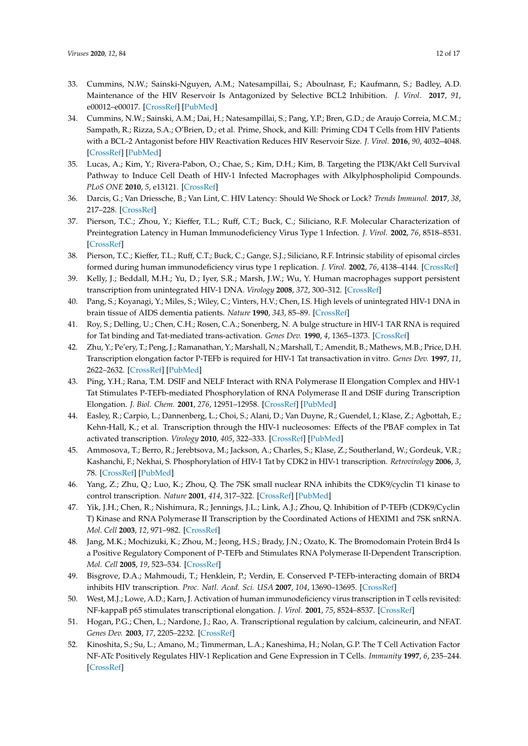- <span id="page-11-0"></span>33. Cummins, N.W.; Sainski-Nguyen, A.M.; Natesampillai, S.; Aboulnasr, F.; Kaufmann, S.; Badley, A.D. Maintenance of the HIV Reservoir Is Antagonized by Selective BCL2 Inhibition. *J. Virol.* **2017**, *91*, e00012–e00017. [\[CrossRef\]](http://dx.doi.org/10.1128/JVI.00012-17) [\[PubMed\]](http://www.ncbi.nlm.nih.gov/pubmed/28331083)
- <span id="page-11-1"></span>34. Cummins, N.W.; Sainski, A.M.; Dai, H.; Natesampillai, S.; Pang, Y.P.; Bren, G.D.; de Araujo Correia, M.C.M.; Sampath, R.; Rizza, S.A.; O'Brien, D.; et al. Prime, Shock, and Kill: Priming CD4 T Cells from HIV Patients with a BCL-2 Antagonist before HIV Reactivation Reduces HIV Reservoir Size. *J. Virol.* **2016**, *90*, 4032–4048. [\[CrossRef\]](http://dx.doi.org/10.1128/JVI.03179-15) [\[PubMed\]](http://www.ncbi.nlm.nih.gov/pubmed/26842479)
- <span id="page-11-2"></span>35. Lucas, A.; Kim, Y.; Rivera-Pabon, O.; Chae, S.; Kim, D.H.; Kim, B. Targeting the PI3K/Akt Cell Survival Pathway to Induce Cell Death of HIV-1 Infected Macrophages with Alkylphospholipid Compounds. *PLoS ONE* **2010**, *5*, e13121. [\[CrossRef\]](http://dx.doi.org/10.1371/journal.pone.0013121)
- <span id="page-11-3"></span>36. Darcis, G.; Van Driessche, B.; Van Lint, C. HIV Latency: Should We Shock or Lock? *Trends Immunol.* **2017**, *38*, 217–228. [\[CrossRef\]](http://dx.doi.org/10.1016/j.it.2016.12.003)
- <span id="page-11-4"></span>37. Pierson, T.C.; Zhou, Y.; Kieffer, T.L.; Ruff, C.T.; Buck, C.; Siliciano, R.F. Molecular Characterization of Preintegration Latency in Human Immunodeficiency Virus Type 1 Infection. *J. Virol.* **2002**, *76*, 8518–8531. [\[CrossRef\]](http://dx.doi.org/10.1128/JVI.76.17.8518-8513.2002)
- <span id="page-11-5"></span>38. Pierson, T.C.; Kieffer, T.L.; Ruff, C.T.; Buck, C.; Gange, S.J.; Siliciano, R.F. Intrinsic stability of episomal circles formed during human immunodeficiency virus type 1 replication. *J. Virol.* **2002**, *76*, 4138–4144. [\[CrossRef\]](http://dx.doi.org/10.1128/JVI.76.8.4138-4144.2002)
- <span id="page-11-6"></span>39. Kelly, J.; Beddall, M.H.; Yu, D.; Iyer, S.R.; Marsh, J.W.; Wu, Y. Human macrophages support persistent transcription from unintegrated HIV-1 DNA. *Virology* **2008**, *372*, 300–312. [\[CrossRef\]](http://dx.doi.org/10.1016/j.virol.2007.11.007)
- <span id="page-11-7"></span>40. Pang, S.; Koyanagi, Y.; Miles, S.; Wiley, C.; Vinters, H.V.; Chen, I.S. High levels of unintegrated HIV-1 DNA in brain tissue of AIDS dementia patients. *Nature* **1990**, *343*, 85–89. [\[CrossRef\]](http://dx.doi.org/10.1038/343085a0)
- <span id="page-11-8"></span>41. Roy, S.; Delling, U.; Chen, C.H.; Rosen, C.A.; Sonenberg, N. A bulge structure in HIV-1 TAR RNA is required for Tat binding and Tat-mediated trans-activation. *Genes Dev.* **1990**, *4*, 1365–1373. [\[CrossRef\]](http://dx.doi.org/10.1101/gad.4.8.1365)
- <span id="page-11-9"></span>42. Zhu, Y.; Pe'ery, T.; Peng, J.; Ramanathan, Y.; Marshall, N.; Marshall, T.; Amendit, B.; Mathews, M.B.; Price, D.H. Transcription elongation factor P-TEFb is required for HIV-1 Tat transactivation in vitro. *Genes Dev.* **1997**, *11*, 2622–2632. [\[CrossRef\]](http://dx.doi.org/10.1101/gad.11.20.2622) [\[PubMed\]](http://www.ncbi.nlm.nih.gov/pubmed/9334325)
- <span id="page-11-10"></span>43. Ping, Y.H.; Rana, T.M. DSIF and NELF Interact with RNA Polymerase II Elongation Complex and HIV-1 Tat Stimulates P-TEFb-mediated Phosphorylation of RNA Polymerase II and DSIF during Transcription Elongation. *J. Biol. Chem.* **2001**, *276*, 12951–12958. [\[CrossRef\]](http://dx.doi.org/10.1074/jbc.M006130200) [\[PubMed\]](http://www.ncbi.nlm.nih.gov/pubmed/11112772)
- <span id="page-11-11"></span>44. Easley, R.; Carpio, L.; Dannenberg, L.; Choi, S.; Alani, D.; Van Duyne, R.; Guendel, I.; Klase, Z.; Agbottah, E.; Kehn-Hall, K.; et al. Transcription through the HIV-1 nucleosomes: Effects of the PBAF complex in Tat activated transcription. *Virology* **2010**, *405*, 322–333. [\[CrossRef\]](http://dx.doi.org/10.1016/j.virol.2010.06.009) [\[PubMed\]](http://www.ncbi.nlm.nih.gov/pubmed/20599239)
- <span id="page-11-12"></span>45. Ammosova, T.; Berro, R.; Jerebtsova, M.; Jackson, A.; Charles, S.; Klase, Z.; Southerland, W.; Gordeuk, V.R.; Kashanchi, F.; Nekhai, S. Phosphorylation of HIV-1 Tat by CDK2 in HIV-1 transcription. *Retrovirology* **2006**, *3*, 78. [\[CrossRef\]](http://dx.doi.org/10.1186/1742-4690-3-78) [\[PubMed\]](http://www.ncbi.nlm.nih.gov/pubmed/17083724)
- <span id="page-11-13"></span>46. Yang, Z.; Zhu, Q.; Luo, K.; Zhou, Q. The 7SK small nuclear RNA inhibits the CDK9/cyclin T1 kinase to control transcription. *Nature* **2001**, *414*, 317–322. [\[CrossRef\]](http://dx.doi.org/10.1038/35104575) [\[PubMed\]](http://www.ncbi.nlm.nih.gov/pubmed/11713532)
- <span id="page-11-14"></span>47. Yik, J.H.; Chen, R.; Nishimura, R.; Jennings, J.L.; Link, A.J.; Zhou, Q. Inhibition of P-TEFb (CDK9/Cyclin T) Kinase and RNA Polymerase II Transcription by the Coordinated Actions of HEXIM1 and 7SK snRNA. *Mol. Cell* **2003**, *12*, 971–982. [\[CrossRef\]](http://dx.doi.org/10.1016/S1097-2765(03)00388-5)
- <span id="page-11-15"></span>48. Jang, M.K.; Mochizuki, K.; Zhou, M.; Jeong, H.S.; Brady, J.N.; Ozato, K. The Bromodomain Protein Brd4 Is a Positive Regulatory Component of P-TEFb and Stimulates RNA Polymerase II-Dependent Transcription. *Mol. Cell* **2005**, *19*, 523–534. [\[CrossRef\]](http://dx.doi.org/10.1016/j.molcel.2005.06.027)
- <span id="page-11-16"></span>49. Bisgrove, D.A.; Mahmoudi, T.; Henklein, P.; Verdin, E. Conserved P-TEFb-interacting domain of BRD4 inhibits HIV transcription. *Proc. Natl. Acad. Sci. USA* **2007**, *104*, 13690–13695. [\[CrossRef\]](http://dx.doi.org/10.1073/pnas.0705053104)
- <span id="page-11-17"></span>50. West, M.J.; Lowe, A.D.; Karn, J. Activation of human immunodeficiency virus transcription in T cells revisited: NF-kappaB p65 stimulates transcriptional elongation. *J. Virol.* **2001**, *75*, 8524–8537. [\[CrossRef\]](http://dx.doi.org/10.1128/JVI.75.18.8524-8537.2001)
- <span id="page-11-18"></span>51. Hogan, P.G.; Chen, L.; Nardone, J.; Rao, A. Transcriptional regulation by calcium, calcineurin, and NFAT. *Genes Dev.* **2003**, *17*, 2205–2232. [\[CrossRef\]](http://dx.doi.org/10.1101/gad.1102703)
- <span id="page-11-19"></span>52. Kinoshita, S.; Su, L.; Amano, M.; Timmerman, L.A.; Kaneshima, H.; Nolan, G.P. The T Cell Activation Factor NF-ATc Positively Regulates HIV-1 Replication and Gene Expression in T Cells. *Immunity* **1997**, *6*, 235–244. [\[CrossRef\]](http://dx.doi.org/10.1016/S1074-7613(00)80326-X)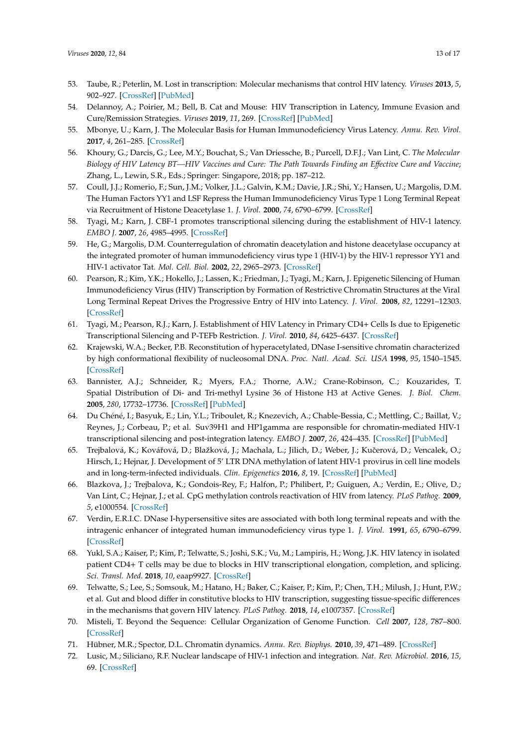- <span id="page-12-0"></span>53. Taube, R.; Peterlin, M. Lost in transcription: Molecular mechanisms that control HIV latency. *Viruses* **2013**, *5*, 902–927. [\[CrossRef\]](http://dx.doi.org/10.3390/v5030902) [\[PubMed\]](http://www.ncbi.nlm.nih.gov/pubmed/23518577)
- 54. Delannoy, A.; Poirier, M.; Bell, B. Cat and Mouse: HIV Transcription in Latency, Immune Evasion and Cure/Remission Strategies. *Viruses* **2019**, *11*, 269. [\[CrossRef\]](http://dx.doi.org/10.3390/v11030269) [\[PubMed\]](http://www.ncbi.nlm.nih.gov/pubmed/30889861)
- 55. Mbonye, U.; Karn, J. The Molecular Basis for Human Immunodeficiency Virus Latency. *Annu. Rev. Virol.* **2017**, *4*, 261–285. [\[CrossRef\]](http://dx.doi.org/10.1146/annurev-virology-101416-041646)
- <span id="page-12-1"></span>56. Khoury, G.; Darcis, G.; Lee, M.Y.; Bouchat, S.; Van Driessche, B.; Purcell, D.F.J.; Van Lint, C. *The Molecular* Biology of HIV Latency BT—HIV Vaccines and Cure: The Path Towards Finding an Effective Cure and Vaccine; Zhang, L., Lewin, S.R., Eds.; Springer: Singapore, 2018; pp. 187–212.
- <span id="page-12-2"></span>57. Coull, J.J.; Romerio, F.; Sun, J.M.; Volker, J.L.; Galvin, K.M.; Davie, J.R.; Shi, Y.; Hansen, U.; Margolis, D.M. The Human Factors YY1 and LSF Repress the Human Immunodeficiency Virus Type 1 Long Terminal Repeat via Recruitment of Histone Deacetylase 1. *J. Virol.* **2000**, *74*, 6790–6799. [\[CrossRef\]](http://dx.doi.org/10.1128/JVI.74.15.6790-6799.2000)
- <span id="page-12-3"></span>58. Tyagi, M.; Karn, J. CBF-1 promotes transcriptional silencing during the establishment of HIV-1 latency. *EMBO J.* **2007**, *26*, 4985–4995. [\[CrossRef\]](http://dx.doi.org/10.1038/sj.emboj.7601928)
- <span id="page-12-4"></span>59. He, G.; Margolis, D.M. Counterregulation of chromatin deacetylation and histone deacetylase occupancy at the integrated promoter of human immunodeficiency virus type 1 (HIV-1) by the HIV-1 repressor YY1 and HIV-1 activator Tat. *Mol. Cell. Biol.* **2002**, *22*, 2965–2973. [\[CrossRef\]](http://dx.doi.org/10.1128/MCB.22.9.2965-2973.2002)
- <span id="page-12-5"></span>60. Pearson, R.; Kim, Y.K.; Hokello, J.; Lassen, K.; Friedman, J.; Tyagi, M.; Karn, J. Epigenetic Silencing of Human Immunodeficiency Virus (HIV) Transcription by Formation of Restrictive Chromatin Structures at the Viral Long Terminal Repeat Drives the Progressive Entry of HIV into Latency. *J. Virol.* **2008**, *82*, 12291–12303. [\[CrossRef\]](http://dx.doi.org/10.1128/JVI.01383-08)
- <span id="page-12-6"></span>61. Tyagi, M.; Pearson, R.J.; Karn, J. Establishment of HIV Latency in Primary CD4+ Cells Is due to Epigenetic Transcriptional Silencing and P-TEFb Restriction. *J. Virol.* **2010**, *84*, 6425–6437. [\[CrossRef\]](http://dx.doi.org/10.1128/JVI.01519-09)
- <span id="page-12-7"></span>62. Krajewski, W.A.; Becker, P.B. Reconstitution of hyperacetylated, DNase I-sensitive chromatin characterized by high conformational flexibility of nucleosomal DNA. *Proc. Natl. Acad. Sci. USA* **1998**, *95*, 1540–1545. [\[CrossRef\]](http://dx.doi.org/10.1073/pnas.95.4.1540)
- <span id="page-12-8"></span>63. Bannister, A.J.; Schneider, R.; Myers, F.A.; Thorne, A.W.; Crane-Robinson, C.; Kouzarides, T. Spatial Distribution of Di- and Tri-methyl Lysine 36 of Histone H3 at Active Genes. *J. Biol. Chem.* **2005**, *280*, 17732–17736. [\[CrossRef\]](http://dx.doi.org/10.1074/jbc.M500796200) [\[PubMed\]](http://www.ncbi.nlm.nih.gov/pubmed/15760899)
- <span id="page-12-9"></span>64. Du Chéné, I.; Basyuk, E.; Lin, Y.L.; Triboulet, R.; Knezevich, A.; Chable-Bessia, C.; Mettling, C.; Baillat, V.; Reynes, J.; Corbeau, P.; et al. Suv39H1 and HP1gamma are responsible for chromatin-mediated HIV-1 transcriptional silencing and post-integration latency. *EMBO J.* **2007**, *26*, 424–435. [\[CrossRef\]](http://dx.doi.org/10.1038/sj.emboj.7601517) [\[PubMed\]](http://www.ncbi.nlm.nih.gov/pubmed/17245432)
- <span id="page-12-10"></span>65. Trejbalová, K.; Kovářová, D.; Blažková, J.; Machala, L.; Jilich, D.; Weber, J.; Kučerová, D.; Vencalek, O.; Hirsch, I.; Hejnar, J. Development of 5' LTR DNA methylation of latent HIV-1 provirus in cell line models and in long-term-infected individuals. *Clin. Epigenetics* **2016**, *8*, 19. [\[CrossRef\]](http://dx.doi.org/10.1186/s13148-016-0185-6) [\[PubMed\]](http://www.ncbi.nlm.nih.gov/pubmed/26900410)
- <span id="page-12-11"></span>66. Blazkova, J.; Trejbalova, K.; Gondois-Rey, F.; Halfon, P.; Philibert, P.; Guiguen, A.; Verdin, E.; Olive, D.; Van Lint, C.; Hejnar, J.; et al. CpG methylation controls reactivation of HIV from latency. *PLoS Pathog.* **2009**, *5*, e1000554. [\[CrossRef\]](http://dx.doi.org/10.1371/journal.ppat.1000554)
- <span id="page-12-12"></span>67. Verdin, E.R.I.C. DNase I-hypersensitive sites are associated with both long terminal repeats and with the intragenic enhancer of integrated human immunodeficiency virus type 1. *J. Virol.* **1991**, *65*, 6790–6799. [\[CrossRef\]](http://dx.doi.org/10.1128/JVI.65.12.6790-6799.1991)
- <span id="page-12-13"></span>68. Yukl, S.A.; Kaiser, P.; Kim, P.; Telwatte, S.; Joshi, S.K.; Vu, M.; Lampiris, H.; Wong, J.K. HIV latency in isolated patient CD4+ T cells may be due to blocks in HIV transcriptional elongation, completion, and splicing. *Sci. Transl. Med.* **2018**, *10*, eaap9927. [\[CrossRef\]](http://dx.doi.org/10.1126/scitranslmed.aap9927)
- <span id="page-12-14"></span>69. Telwatte, S.; Lee, S.; Somsouk, M.; Hatano, H.; Baker, C.; Kaiser, P.; Kim, P.; Chen, T.H.; Milush, J.; Hunt, P.W.; et al. Gut and blood differ in constitutive blocks to HIV transcription, suggesting tissue-specific differences in the mechanisms that govern HIV latency. *PLoS Pathog.* **2018**, *14*, e1007357. [\[CrossRef\]](http://dx.doi.org/10.1371/journal.ppat.1007357)
- <span id="page-12-15"></span>70. Misteli, T. Beyond the Sequence: Cellular Organization of Genome Function. *Cell* **2007**, *128*, 787–800. [\[CrossRef\]](http://dx.doi.org/10.1016/j.cell.2007.01.028)
- <span id="page-12-16"></span>71. Hübner, M.R.; Spector, D.L. Chromatin dynamics. *Annu. Rev. Biophys.* **2010**, *39*, 471–489. [\[CrossRef\]](http://dx.doi.org/10.1146/annurev.biophys.093008.131348)
- <span id="page-12-17"></span>72. Lusic, M.; Siliciano, R.F. Nuclear landscape of HIV-1 infection and integration. *Nat. Rev. Microbiol.* **2016**, *15*, 69. [\[CrossRef\]](http://dx.doi.org/10.1038/nrmicro.2016.162)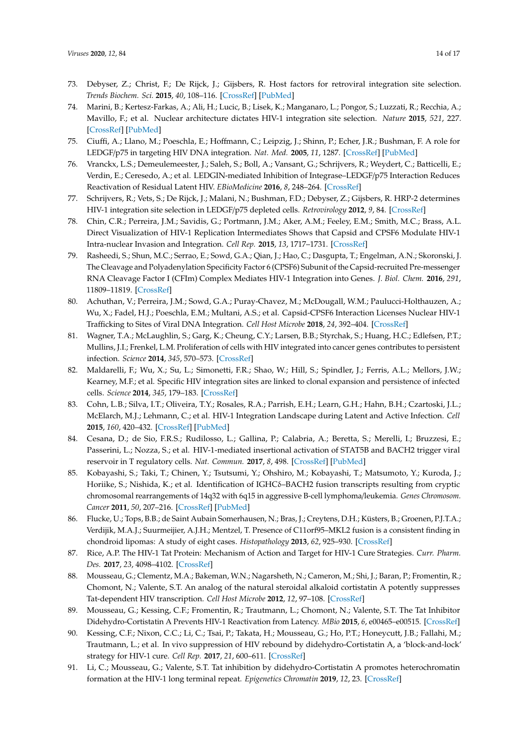- <span id="page-13-0"></span>73. Debyser, Z.; Christ, F.; De Rijck, J.; Gijsbers, R. Host factors for retroviral integration site selection. *Trends Biochem. Sci.* **2015**, *40*, 108–116. [\[CrossRef\]](http://dx.doi.org/10.1016/j.tibs.2014.12.001) [\[PubMed\]](http://www.ncbi.nlm.nih.gov/pubmed/25555456)
- <span id="page-13-1"></span>74. Marini, B.; Kertesz-Farkas, A.; Ali, H.; Lucic, B.; Lisek, K.; Manganaro, L.; Pongor, S.; Luzzati, R.; Recchia, A.; Mavillo, F.; et al. Nuclear architecture dictates HIV-1 integration site selection. *Nature* **2015**, *521*, 227. [\[CrossRef\]](http://dx.doi.org/10.1038/nature14226) [\[PubMed\]](http://www.ncbi.nlm.nih.gov/pubmed/25731161)
- <span id="page-13-2"></span>75. Ciuffi, A.; Llano, M.; Poeschla, E.; Hoffmann, C.; Leipzig, J.; Shinn, P.; Echer, J.R.; Bushman, F. A role for LEDGF/p75 in targeting HIV DNA integration. *Nat. Med.* **2005**, *11*, 1287. [\[CrossRef\]](http://dx.doi.org/10.1038/nm1329) [\[PubMed\]](http://www.ncbi.nlm.nih.gov/pubmed/16311605)
- <span id="page-13-4"></span>76. Vranckx, L.S.; Demeulemeester, J.; Saleh, S.; Boll, A.; Vansant, G.; Schrijvers, R.; Weydert, C.; Batticelli, E.; Verdin, E.; Ceresedo, A.; et al. LEDGIN-mediated Inhibition of Integrase–LEDGF/p75 Interaction Reduces Reactivation of Residual Latent HIV. *EBioMedicine* **2016**, *8*, 248–264. [\[CrossRef\]](http://dx.doi.org/10.1016/j.ebiom.2016.04.039)
- 77. Schrijvers, R.; Vets, S.; De Rijck, J.; Malani, N.; Bushman, F.D.; Debyser, Z.; Gijsbers, R. HRP-2 determines HIV-1 integration site selection in LEDGF/p75 depleted cells. *Retrovirology* **2012**, *9*, 84. [\[CrossRef\]](http://dx.doi.org/10.1186/1742-4690-9-84)
- 78. Chin, C.R.; Perreira, J.M.; Savidis, G.; Portmann, J.M.; Aker, A.M.; Feeley, E.M.; Smith, M.C.; Brass, A.L. Direct Visualization of HIV-1 Replication Intermediates Shows that Capsid and CPSF6 Modulate HIV-1 Intra-nuclear Invasion and Integration. *Cell Rep.* **2015**, *13*, 1717–1731. [\[CrossRef\]](http://dx.doi.org/10.1016/j.celrep.2015.10.036)
- 79. Rasheedi, S.; Shun, M.C.; Serrao, E.; Sowd, G.A.; Qian, J.; Hao, C.; Dasgupta, T.; Engelman, A.N.; Skoronski, J. The Cleavage and Polyadenylation Specificity Factor 6 (CPSF6) Subunit of the Capsid-recruited Pre-messenger RNA Cleavage Factor I (CFIm) Complex Mediates HIV-1 Integration into Genes. *J. Biol. Chem.* **2016**, *291*, 11809–11819. [\[CrossRef\]](http://dx.doi.org/10.1074/jbc.M116.721647)
- <span id="page-13-3"></span>80. Achuthan, V.; Perreira, J.M.; Sowd, G.A.; Puray-Chavez, M.; McDougall, W.M.; Paulucci-Holthauzen, A.; Wu, X.; Fadel, H.J.; Poeschla, E.M.; Multani, A.S.; et al. Capsid-CPSF6 Interaction Licenses Nuclear HIV-1 Trafficking to Sites of Viral DNA Integration. *Cell Host Microbe* **2018**, *24*, 392–404. [\[CrossRef\]](http://dx.doi.org/10.1016/j.chom.2018.08.002)
- <span id="page-13-5"></span>81. Wagner, T.A.; McLaughlin, S.; Garg, K.; Cheung, C.Y.; Larsen, B.B.; Styrchak, S.; Huang, H.C.; Edlefsen, P.T.; Mullins, J.I.; Frenkel, L.M. Proliferation of cells with HIV integrated into cancer genes contributes to persistent infection. *Science* **2014**, *345*, 570–573. [\[CrossRef\]](http://dx.doi.org/10.1126/science.1256304)
- 82. Maldarelli, F.; Wu, X.; Su, L.; Simonetti, F.R.; Shao, W.; Hill, S.; Spindler, J.; Ferris, A.L.; Mellors, J.W.; Kearney, M.F.; et al. Specific HIV integration sites are linked to clonal expansion and persistence of infected cells. *Science* **2014**, *345*, 179–183. [\[CrossRef\]](http://dx.doi.org/10.1126/science.1254194)
- 83. Cohn, L.B.; Silva, I.T.; Oliveira, T.Y.; Rosales, R.A.; Parrish, E.H.; Learn, G.H.; Hahn, B.H.; Czartoski, J.L.; McElarch, M.J.; Lehmann, C.; et al. HIV-1 Integration Landscape during Latent and Active Infection. *Cell* **2015**, *160*, 420–432. [\[CrossRef\]](http://dx.doi.org/10.1016/j.cell.2015.01.020) [\[PubMed\]](http://www.ncbi.nlm.nih.gov/pubmed/25635456)
- 84. Cesana, D.; de Sio, F.R.S.; Rudilosso, L.; Gallina, P.; Calabria, A.; Beretta, S.; Merelli, I.; Bruzzesi, E.; Passerini, L.; Nozza, S.; et al. HIV-1-mediated insertional activation of STAT5B and BACH2 trigger viral reservoir in T regulatory cells. *Nat. Commun.* **2017**, *8*, 498. [\[CrossRef\]](http://dx.doi.org/10.1038/s41467-017-00609-1) [\[PubMed\]](http://www.ncbi.nlm.nih.gov/pubmed/28887441)
- 85. Kobayashi, S.; Taki, T.; Chinen, Y.; Tsutsumi, Y.; Ohshiro, M.; Kobayashi, T.; Matsumoto, Y.; Kuroda, J.; Horiike, S.; Nishida, K.; et al. Identification of IGHC $\delta$ –BACH2 fusion transcripts resulting from cryptic chromosomal rearrangements of 14q32 with 6q15 in aggressive B-cell lymphoma/leukemia. *Genes Chromosom. Cancer* **2011**, *50*, 207–216. [\[CrossRef\]](http://dx.doi.org/10.1002/gcc.20845) [\[PubMed\]](http://www.ncbi.nlm.nih.gov/pubmed/21319257)
- <span id="page-13-6"></span>86. Flucke, U.; Tops, B.B.; de Saint Aubain Somerhausen, N.; Bras, J.; Creytens, D.H.; Küsters, B.; Groenen, P.J.T.A.; Verdijik, M.A.J.; Suurmeijier, A.J.H.; Mentzel, T. Presence of C11orf95–MKL2 fusion is a consistent finding in chondroid lipomas: A study of eight cases. *Histopathology* **2013**, *62*, 925–930. [\[CrossRef\]](http://dx.doi.org/10.1111/his.12100)
- <span id="page-13-7"></span>87. Rice, A.P. The HIV-1 Tat Protein: Mechanism of Action and Target for HIV-1 Cure Strategies. *Curr. Pharm. Des.* **2017**, *23*, 4098–4102. [\[CrossRef\]](http://dx.doi.org/10.2174/1381612823666170704130635)
- <span id="page-13-8"></span>88. Mousseau, G.; Clementz, M.A.; Bakeman, W.N.; Nagarsheth, N.; Cameron, M.; Shi, J.; Baran, P.; Fromentin, R.; Chomont, N.; Valente, S.T. An analog of the natural steroidal alkaloid cortistatin A potently suppresses Tat-dependent HIV transcription. *Cell Host Microbe* **2012**, *12*, 97–108. [\[CrossRef\]](http://dx.doi.org/10.1016/j.chom.2012.05.016)
- <span id="page-13-9"></span>89. Mousseau, G.; Kessing, C.F.; Fromentin, R.; Trautmann, L.; Chomont, N.; Valente, S.T. The Tat Inhibitor Didehydro-Cortistatin A Prevents HIV-1 Reactivation from Latency. *MBio* **2015**, *6*, e00465–e00515. [\[CrossRef\]](http://dx.doi.org/10.1128/mBio.00465-15)
- <span id="page-13-10"></span>90. Kessing, C.F.; Nixon, C.C.; Li, C.; Tsai, P.; Takata, H.; Mousseau, G.; Ho, P.T.; Honeycutt, J.B.; Fallahi, M.; Trautmann, L.; et al. In vivo suppression of HIV rebound by didehydro-Cortistatin A, a 'block-and-lock' strategy for HIV-1 cure. *Cell Rep.* **2017**, *21*, 600–611. [\[CrossRef\]](http://dx.doi.org/10.1016/j.celrep.2017.09.080)
- <span id="page-13-11"></span>91. Li, C.; Mousseau, G.; Valente, S.T. Tat inhibition by didehydro-Cortistatin A promotes heterochromatin formation at the HIV-1 long terminal repeat. *Epigenetics Chromatin* **2019**, *12*, 23. [\[CrossRef\]](http://dx.doi.org/10.1186/s13072-019-0267-8)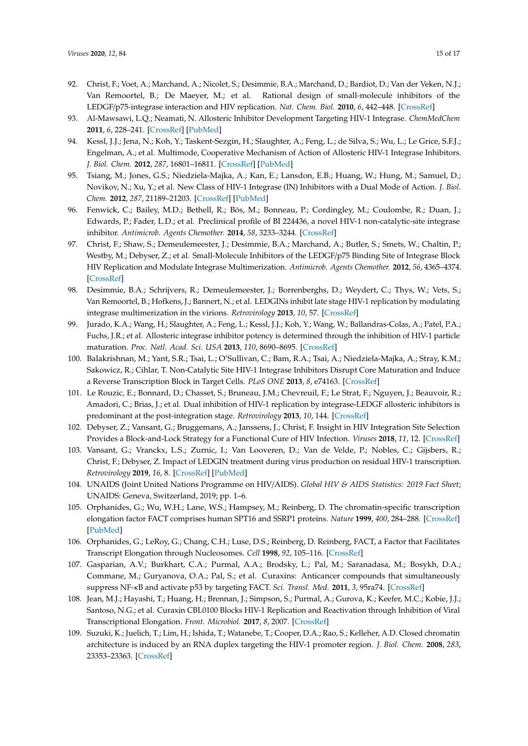- <span id="page-14-0"></span>92. Christ, F.; Voet, A.; Marchand, A.; Nicolet, S.; Desimmie, B.A.; Marchand, D.; Bardiot, D.; Van der Veken, N.J.; Van Remoortel, B.; De Maeyer, M.; et al. Rational design of small-molecule inhibitors of the LEDGF/p75-integrase interaction and HIV replication. *Nat. Chem. Biol.* **2010**, *6*, 442–448. [\[CrossRef\]](http://dx.doi.org/10.1038/nchembio.370)
- 93. Al-Mawsawi, L.Q.; Neamati, N. Allosteric Inhibitor Development Targeting HIV-1 Integrase. *ChemMedChem* **2011**, *6*, 228–241. [\[CrossRef\]](http://dx.doi.org/10.1002/cmdc.201000443) [\[PubMed\]](http://www.ncbi.nlm.nih.gov/pubmed/21275045)
- 94. Kessl, J.J.; Jena, N.; Koh, Y.; Taskent-Sezgin, H.; Slaughter, A.; Feng, L.; de Silva, S.; Wu, L.; Le Grice, S.F.J.; Engelman, A.; et al. Multimode, Cooperative Mechanism of Action of Allosteric HIV-1 Integrase Inhibitors. *J. Biol. Chem.* **2012**, *287*, 16801–16811. [\[CrossRef\]](http://dx.doi.org/10.1074/jbc.M112.354373) [\[PubMed\]](http://www.ncbi.nlm.nih.gov/pubmed/22437836)
- 95. Tsiang, M.; Jones, G.S.; Niedziela-Majka, A.; Kan, E.; Lansdon, E.B.; Huang, W.; Hung, M.; Samuel, D.; Novikov, N.; Xu, Y.; et al. New Class of HIV-1 Integrase (IN) Inhibitors with a Dual Mode of Action. *J. Biol. Chem.* **2012**, *287*, 21189–21203. [\[CrossRef\]](http://dx.doi.org/10.1074/jbc.M112.347534) [\[PubMed\]](http://www.ncbi.nlm.nih.gov/pubmed/22535962)
- <span id="page-14-1"></span>96. Fenwick, C.; Bailey, M.D.; Bethell, R.; Bös, M.; Bonneau, P.; Cordingley, M.; Coulombe, R.; Duan, J.; Edwards, P.; Fader, L.D.; et al. Preclinical profile of BI 224436, a novel HIV-1 non-catalytic-site integrase inhibitor. *Antimicrob. Agents Chemother.* **2014**, *58*, 3233–3244. [\[CrossRef\]](http://dx.doi.org/10.1128/AAC.02719-13)
- <span id="page-14-2"></span>97. Christ, F.; Shaw, S.; Demeulemeester, J.; Desimmie, B.A.; Marchand, A.; Butler, S.; Smets, W.; Chaltin, P.; Westby, M.; Debyser, Z.; et al. Small-Molecule Inhibitors of the LEDGF/p75 Binding Site of Integrase Block HIV Replication and Modulate Integrase Multimerization. *Antimicrob. Agents Chemother.* **2012**, *56*, 4365–4374. [\[CrossRef\]](http://dx.doi.org/10.1128/AAC.00717-12)
- <span id="page-14-3"></span>98. Desimmie, B.A.; Schrijvers, R.; Demeulemeester, J.; Borrenberghs, D.; Weydert, C.; Thys, W.; Vets, S.; Van Remoortel, B.; Hofkens, J.; Bannert, N.; et al. LEDGINs inhibit late stage HIV-1 replication by modulating integrase multimerization in the virions. *Retrovirology* **2013**, *10*, 57. [\[CrossRef\]](http://dx.doi.org/10.1186/1742-4690-10-57)
- 99. Jurado, K.A.; Wang, H.; Slaughter, A.; Feng, L.; Kessl, J.J.; Koh, Y.; Wang, W.; Ballandras-Colas, A.; Patel, P.A.; Fuchs, J.R.; et al. Allosteric integrase inhibitor potency is determined through the inhibition of HIV-1 particle maturation. *Proc. Natl. Acad. Sci. USA* **2013**, *110*, 8690–8695. [\[CrossRef\]](http://dx.doi.org/10.1073/pnas.1300703110)
- 100. Balakrishnan, M.; Yant, S.R.; Tsai, L.; O'Sullivan, C.; Bam, R.A.; Tsai, A.; Niedziela-Majka, A.; Stray, K.M.; Sakowicz, R.; Cihlar, T. Non-Catalytic Site HIV-1 Integrase Inhibitors Disrupt Core Maturation and Induce a Reverse Transcription Block in Target Cells. *PLoS ONE* **2013**, *8*, e74163. [\[CrossRef\]](http://dx.doi.org/10.1371/journal.pone.0074163)
- <span id="page-14-4"></span>101. Le Rouzic, E.; Bonnard, D.; Chasset, S.; Bruneau, J.M.; Chevreuil, F.; Le Strat, F.; Nguyen, J.; Beauvoir, R.; Amadori, C.; Brias, J.; et al. Dual inhibition of HIV-1 replication by integrase-LEDGF allosteric inhibitors is predominant at the post-integration stage. *Retrovirology* **2013**, *10*, 144. [\[CrossRef\]](http://dx.doi.org/10.1186/1742-4690-10-144)
- <span id="page-14-5"></span>102. Debyser, Z.; Vansant, G.; Bruggemans, A.; Janssens, J.; Christ, F. Insight in HIV Integration Site Selection Provides a Block-and-Lock Strategy for a Functional Cure of HIV Infection. *Viruses* **2018**, *11*, 12. [\[CrossRef\]](http://dx.doi.org/10.3390/v11010012)
- <span id="page-14-6"></span>103. Vansant, G.; Vranckx, L.S.; Zurnic, I.; Van Looveren, D.; Van de Velde, P.; Nobles, C.; Gijsbers, R.; Christ, F.; Debyser, Z. Impact of LEDGIN treatment during virus production on residual HIV-1 transcription. *Retrovirology* **2019**, *16*, 8. [\[CrossRef\]](http://dx.doi.org/10.1186/s12977-019-0472-3) [\[PubMed\]](http://www.ncbi.nlm.nih.gov/pubmed/30940165)
- <span id="page-14-7"></span>104. UNAIDS (Joint United Nations Programme on HIV/AIDS). *Global HIV & AIDS Statistics: 2019 Fact Sheet*; UNAIDS: Geneva, Switzerland, 2019; pp. 1–6.
- <span id="page-14-8"></span>105. Orphanides, G.; Wu, W.H.; Lane, W.S.; Hampsey, M.; Reinberg, D. The chromatin-specific transcription elongation factor FACT comprises human SPT16 and SSRP1 proteins. *Nature* **1999**, *400*, 284–288. [\[CrossRef\]](http://dx.doi.org/10.1038/22350) [\[PubMed\]](http://www.ncbi.nlm.nih.gov/pubmed/10421373)
- <span id="page-14-9"></span>106. Orphanides, G.; LeRoy, G.; Chang, C.H.; Luse, D.S.; Reinberg, D. Reinberg, FACT, a Factor that Facilitates Transcript Elongation through Nucleosomes. *Cell* **1998**, *92*, 105–116. [\[CrossRef\]](http://dx.doi.org/10.1016/S0092-8674(00)80903-4)
- <span id="page-14-10"></span>107. Gasparian, A.V.; Burkhart, C.A.; Purmal, A.A.; Brodsky, L.; Pal, M.; Saranadasa, M.; Bosykh, D.A.; Commane, M.; Guryanova, O.A.; Pal, S.; et al. Curaxins: Anticancer compounds that simultaneously suppress NF-κB and activate p53 by targeting FACT. *Sci. Transl. Med.* **2011**, *3*, 95ra74. [\[CrossRef\]](http://dx.doi.org/10.1126/scitranslmed.3002530)
- <span id="page-14-11"></span>108. Jean, M.J.; Hayashi, T.; Huang, H.; Brennan, J.; Simpson, S.; Purmal, A.; Gurova, K.; Keefer, M.C.; Kobie, J.J.; Santoso, N.G.; et al. Curaxin CBL0100 Blocks HIV-1 Replication and Reactivation through Inhibition of Viral Transcriptional Elongation. *Front. Microbiol.* **2017**, *8*, 2007. [\[CrossRef\]](http://dx.doi.org/10.3389/fmicb.2017.02007)
- <span id="page-14-12"></span>109. Suzuki, K.; Juelich, T.; Lim, H.; Ishida, T.; Watanebe, T.; Cooper, D.A.; Rao, S.; Kelleher, A.D. Closed chromatin architecture is induced by an RNA duplex targeting the HIV-1 promoter region. *J. Biol. Chem.* **2008**, *283*, 23353–23363. [\[CrossRef\]](http://dx.doi.org/10.1074/jbc.M709651200)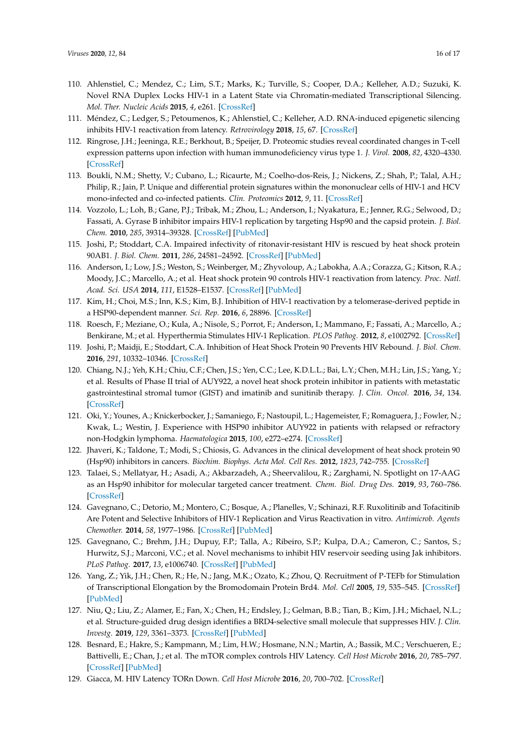- <span id="page-15-0"></span>110. Ahlenstiel, C.; Mendez, C.; Lim, S.T.; Marks, K.; Turville, S.; Cooper, D.A.; Kelleher, A.D.; Suzuki, K. Novel RNA Duplex Locks HIV-1 in a Latent State via Chromatin-mediated Transcriptional Silencing. *Mol. Ther. Nucleic Acids* **2015**, *4*, e261. [\[CrossRef\]](http://dx.doi.org/10.1038/mtna.2015.31)
- <span id="page-15-1"></span>111. Méndez, C.; Ledger, S.; Petoumenos, K.; Ahlenstiel, C.; Kelleher, A.D. RNA-induced epigenetic silencing inhibits HIV-1 reactivation from latency. *Retrovirology* **2018**, *15*, 67. [\[CrossRef\]](http://dx.doi.org/10.1186/s12977-018-0451-0)
- <span id="page-15-2"></span>112. Ringrose, J.H.; Jeeninga, R.E.; Berkhout, B.; Speijer, D. Proteomic studies reveal coordinated changes in T-cell expression patterns upon infection with human immunodeficiency virus type 1. *J. Virol.* **2008**, *82*, 4320–4330. [\[CrossRef\]](http://dx.doi.org/10.1128/JVI.01819-07)
- <span id="page-15-3"></span>113. Boukli, N.M.; Shetty, V.; Cubano, L.; Ricaurte, M.; Coelho-dos-Reis, J.; Nickens, Z.; Shah, P.; Talal, A.H.; Philip, R.; Jain, P. Unique and differential protein signatures within the mononuclear cells of HIV-1 and HCV mono-infected and co-infected patients. *Clin. Proteomics* **2012**, *9*, 11. [\[CrossRef\]](http://dx.doi.org/10.1186/1559-0275-9-11)
- <span id="page-15-4"></span>114. Vozzolo, L.; Loh, B.; Gane, P.J.; Tribak, M.; Zhou, L.; Anderson, I.; Nyakatura, E.; Jenner, R.G.; Selwood, D.; Fassati, A. Gyrase B inhibitor impairs HIV-1 replication by targeting Hsp90 and the capsid protein. *J. Biol. Chem.* **2010**, *285*, 39314–39328. [\[CrossRef\]](http://dx.doi.org/10.1074/jbc.M110.155275) [\[PubMed\]](http://www.ncbi.nlm.nih.gov/pubmed/20937817)
- <span id="page-15-5"></span>115. Joshi, P.; Stoddart, C.A. Impaired infectivity of ritonavir-resistant HIV is rescued by heat shock protein 90AB1. *J. Biol. Chem.* **2011**, *286*, 24581–24592. [\[CrossRef\]](http://dx.doi.org/10.1074/jbc.M111.248021) [\[PubMed\]](http://www.ncbi.nlm.nih.gov/pubmed/21602280)
- <span id="page-15-6"></span>116. Anderson, I.; Low, J.S.; Weston, S.; Weinberger, M.; Zhyvoloup, A.; Labokha, A.A.; Corazza, G.; Kitson, R.A.; Moody, J.C.; Marcello, A.; et al. Heat shock protein 90 controls HIV-1 reactivation from latency. *Proc. Natl. Acad. Sci. USA* **2014**, *111*, E1528–E1537. [\[CrossRef\]](http://dx.doi.org/10.1073/pnas.1320178111) [\[PubMed\]](http://www.ncbi.nlm.nih.gov/pubmed/24706778)
- <span id="page-15-7"></span>117. Kim, H.; Choi, M.S.; Inn, K.S.; Kim, B.J. Inhibition of HIV-1 reactivation by a telomerase-derived peptide in a HSP90-dependent manner. *Sci. Rep.* **2016**, *6*, 28896. [\[CrossRef\]](http://dx.doi.org/10.1038/srep28896)
- <span id="page-15-8"></span>118. Roesch, F.; Meziane, O.; Kula, A.; Nisole, S.; Porrot, F.; Anderson, I.; Mammano, F.; Fassati, A.; Marcello, A.; Benkirane, M.; et al. Hyperthermia Stimulates HIV-1 Replication. *PLOS Pathog.* **2012**, *8*, e1002792. [\[CrossRef\]](http://dx.doi.org/10.1371/journal.ppat.1002792)
- <span id="page-15-9"></span>119. Joshi, P.; Maidji, E.; Stoddart, C.A. Inhibition of Heat Shock Protein 90 Prevents HIV Rebound. *J. Biol. Chem.* **2016**, *291*, 10332–10346. [\[CrossRef\]](http://dx.doi.org/10.1074/jbc.M116.717538)
- <span id="page-15-10"></span>120. Chiang, N.J.; Yeh, K.H.; Chiu, C.F.; Chen, J.S.; Yen, C.C.; Lee, K.D.L.L.; Bai, L.Y.; Chen, M.H.; Lin, J.S.; Yang, Y.; et al. Results of Phase II trial of AUY922, a novel heat shock protein inhibitor in patients with metastatic gastrointestinal stromal tumor (GIST) and imatinib and sunitinib therapy. *J. Clin. Oncol.* **2016**, *34*, 134. [\[CrossRef\]](http://dx.doi.org/10.1200/jco.2016.34.4_suppl.134)
- 121. Oki, Y.; Younes, A.; Knickerbocker, J.; Samaniego, F.; Nastoupil, L.; Hagemeister, F.; Romaguera, J.; Fowler, N.; Kwak, L.; Westin, J. Experience with HSP90 inhibitor AUY922 in patients with relapsed or refractory non-Hodgkin lymphoma. *Haematologica* **2015**, *100*, e272–e274. [\[CrossRef\]](http://dx.doi.org/10.3324/haematol.2015.126557)
- <span id="page-15-18"></span>122. Jhaveri, K.; Taldone, T.; Modi, S.; Chiosis, G. Advances in the clinical development of heat shock protein 90 (Hsp90) inhibitors in cancers. *Biochim. Biophys. Acta Mol. Cell Res.* **2012**, *1823*, 742–755. [\[CrossRef\]](http://dx.doi.org/10.1016/j.bbamcr.2011.10.008)
- <span id="page-15-11"></span>123. Talaei, S.; Mellatyar, H.; Asadi, A.; Akbarzadeh, A.; Sheervalilou, R.; Zarghami, N. Spotlight on 17-AAG as an Hsp90 inhibitor for molecular targeted cancer treatment. *Chem. Biol. Drug Des.* **2019**, *93*, 760–786. [\[CrossRef\]](http://dx.doi.org/10.1111/cbdd.13486)
- <span id="page-15-12"></span>124. Gavegnano, C.; Detorio, M.; Montero, C.; Bosque, A.; Planelles, V.; Schinazi, R.F. Ruxolitinib and Tofacitinib Are Potent and Selective Inhibitors of HIV-1 Replication and Virus Reactivation in vitro. *Antimicrob. Agents Chemother.* **2014**, *58*, 1977–1986. [\[CrossRef\]](http://dx.doi.org/10.1128/AAC.02496-13) [\[PubMed\]](http://www.ncbi.nlm.nih.gov/pubmed/24419350)
- <span id="page-15-13"></span>125. Gavegnano, C.; Brehm, J.H.; Dupuy, F.P.; Talla, A.; Ribeiro, S.P.; Kulpa, D.A.; Cameron, C.; Santos, S.; Hurwitz, S.J.; Marconi, V.C.; et al. Novel mechanisms to inhibit HIV reservoir seeding using Jak inhibitors. *PLoS Pathog.* **2017**, *13*, e1006740. [\[CrossRef\]](http://dx.doi.org/10.1371/journal.ppat.1006740) [\[PubMed\]](http://www.ncbi.nlm.nih.gov/pubmed/29267399)
- <span id="page-15-14"></span>126. Yang, Z.; Yik, J.H.; Chen, R.; He, N.; Jang, M.K.; Ozato, K.; Zhou, Q. Recruitment of P-TEFb for Stimulation of Transcriptional Elongation by the Bromodomain Protein Brd4. *Mol. Cell* **2005**, *19*, 535–545. [\[CrossRef\]](http://dx.doi.org/10.1016/j.molcel.2005.06.029) [\[PubMed\]](http://www.ncbi.nlm.nih.gov/pubmed/16109377)
- <span id="page-15-15"></span>127. Niu, Q.; Liu, Z.; Alamer, E.; Fan, X.; Chen, H.; Endsley, J.; Gelman, B.B.; Tian, B.; Kim, J.H.; Michael, N.L.; et al. Structure-guided drug design identifies a BRD4-selective small molecule that suppresses HIV. *J. Clin. Investg.* **2019**, *129*, 3361–3373. [\[CrossRef\]](http://dx.doi.org/10.1172/JCI120633) [\[PubMed\]](http://www.ncbi.nlm.nih.gov/pubmed/31329163)
- <span id="page-15-16"></span>128. Besnard, E.; Hakre, S.; Kampmann, M.; Lim, H.W.; Hosmane, N.N.; Martin, A.; Bassik, M.C.; Verschueren, E.; Battivelli, E.; Chan, J.; et al. The mTOR complex controls HIV Latency. *Cell Host Microbe* **2016**, *20*, 785–797. [\[CrossRef\]](http://dx.doi.org/10.1016/j.chom.2016.11.001) [\[PubMed\]](http://www.ncbi.nlm.nih.gov/pubmed/27978436)
- <span id="page-15-17"></span>129. Giacca, M. HIV Latency TORn Down. *Cell Host Microbe* **2016**, *20*, 700–702. [\[CrossRef\]](http://dx.doi.org/10.1016/j.chom.2016.11.009)